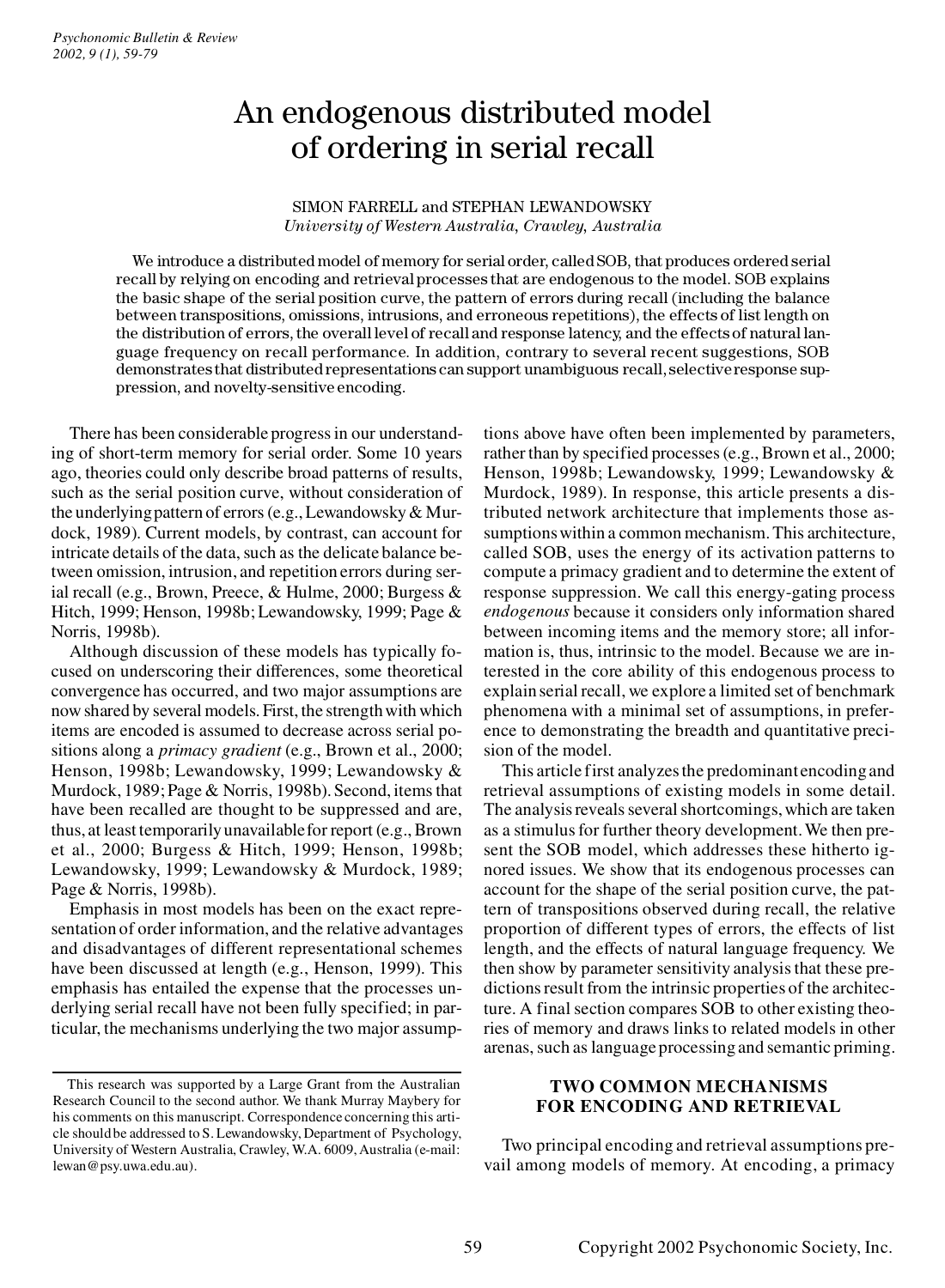# An endogenous distributed model of ordering in serial recall

## SIMON FARRELL and STEPHAN LEWANDOWSKY *University of Western Australia, Crawley, Australia*

We introduce a distributed model of memory for serial order, called SOB, that produces ordered serial recall by relying on encoding and retrieval processes that are endogenous to the model. SOB explains the basic shape of the serial position curve, the pattern of errors during recall (including the balance between transpositions, omissions, intrusions, and erroneous repetitions), the effects of list length on the distribution of errors, the overall level of recall and response latency, and the effects of natural language frequency on recall performance. In addition, contrary to several recent suggestions, SOB demonstrates that distributed representations can support unambiguous recall, selective response suppression, and novelty-sensitive encoding.

There has been considerable progress in our understanding of short-term memory for serial order. Some 10 years ago, theories could only describe broad patterns of results, such as the serial position curve, without consideration of the underlyingpattern of errors (e.g., Lewandowsky & Murdock, 1989). Current models, by contrast, can account for intricate details of the data, such as the delicate balance between omission, intrusion, and repetition errors during serial recall (e.g., Brown, Preece, & Hulme, 2000; Burgess & Hitch, 1999; Henson, 1998b; Lewandowsky, 1999; Page & Norris, 1998b).

Although discussion of these models has typically focused on underscoring their differences, some theoretical convergence has occurred, and two major assumptions are now shared by several models. First, the strength with which items are encoded is assumed to decrease across serial positions along a *primacy gradient* (e.g., Brown et al., 2000; Henson, 1998b; Lewandowsky, 1999; Lewandowsky & Murdock, 1989; Page & Norris, 1998b). Second, items that have been recalled are thought to be suppressed and are, thus, at least temporarily unavailable for report (e.g., Brown et al., 2000; Burgess & Hitch, 1999; Henson, 1998b; Lewandowsky, 1999; Lewandowsky & Murdock, 1989; Page & Norris, 1998b).

Emphasis in most models has been on the exact representation of order information, and the relative advantages and disadvantages of different representational schemes have been discussed at length (e.g., Henson, 1999). This emphasis has entailed the expense that the processes underlying serial recall have not been fully specified; in particular, the mechanisms underlying the two major assump-

tions above have often been implemented by parameters, rather than by specified processes (e.g., Brown et al., 2000; Henson, 1998b; Lewandowsky, 1999; Lewandowsky & Murdock, 1989). In response, this article presents a distributed network architecture that implements those assumptionswithin a common mechanism. This architecture, called SOB, uses the energy of its activation patterns to compute a primacy gradient and to determine the extent of response suppression. We call this energy-gating process *endogenous* because it considers only information shared between incoming items and the memory store; all information is, thus, intrinsic to the model. Because we are interested in the core ability of this endogenous process to explain serial recall, we explore a limited set of benchmark phenomena with a minimal set of assumptions, in preference to demonstrating the breadth and quantitative precision of the model.

This article first analyzes the predominant encoding and retrieval assumptions of existing models in some detail. The analysis reveals several shortcomings,which are taken as a stimulus for further theory development.We then present the SOB model, which addresses these hitherto ignored issues. We show that its endogenous processes can account for the shape of the serial position curve, the pattern of transpositions observed during recall, the relative proportion of different types of errors, the effects of list length, and the effects of natural language frequency. We then show by parameter sensitivity analysis that these predictions result from the intrinsic properties of the architecture. A final section compares SOB to other existing theories of memory and draws links to related models in other arenas, such as language processing and semantic priming.

# **TWO COMMON MECHANISMS FOR ENCODING AND RETRIEVAL**

Two principal encoding and retrieval assumptions prevail among models of memory. At encoding, a primacy

This research was supported by a Large Grant from the Australian Research Council to the second author. We thank Murray Maybery for his comments on this manuscript. Correspondence concerning this article should be addressed to S. Lewandowsky, Department of Psychology, University of Western Australia, Crawley, W.A. 6009, Australia (e-mail: lewan@psy.uwa.edu.au).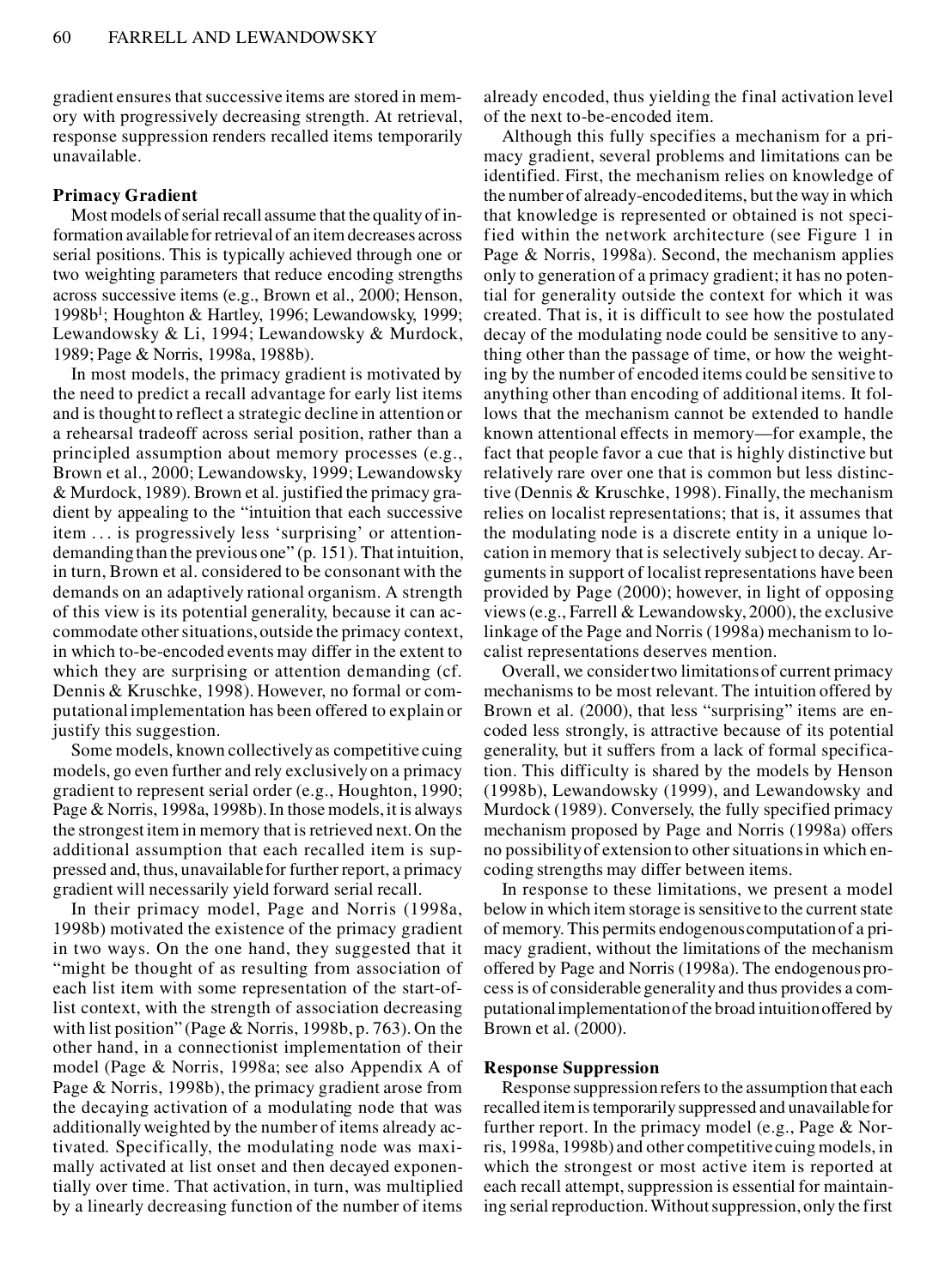gradient ensures that successive items are stored in memory with progressively decreasing strength. At retrieval, response suppression renders recalled items temporarily unavailable.

#### **Primacy Gradient**

Most models of serial recall assume that the quality of information available for retrieval of an item decreases across serial positions. This is typically achieved through one or two weighting parameters that reduce encoding strengths across successive items (e.g., Brown et al., 2000; Henson, 1998b1; Houghton & Hartley, 1996; Lewandowsky, 1999; Lewandowsky & Li, 1994; Lewandowsky & Murdock, 1989; Page & Norris, 1998a, 1988b).

In most models, the primacy gradient is motivated by the need to predict a recall advantage for early list items and is thought to reflect a strategic decline in attention or a rehearsal tradeoff across serial position, rather than a principled assumption about memory processes (e.g., Brown et al., 2000; Lewandowsky, 1999; Lewandowsky & Murdock, 1989). Brown et al. justified the primacy gradient by appealing to the "intuition that each successive item . . . is progressively less 'surprising' or attentiondemandingthan the previous one" (p. 151). That intuition, in turn, Brown et al. considered to be consonant with the demands on an adaptively rational organism. A strength of this view is its potential generality, because it can accommodate other situations, outside the primacy context, in which to-be-encoded events may differ in the extent to which they are surprising or attention demanding (cf. Dennis & Kruschke, 1998). However, no formal or computationalimplementation has been offered to explain or justify this suggestion.

Some models, known collectively as competitive cuing models, go even further and rely exclusively on a primacy gradient to represent serial order (e.g., Houghton, 1990; Page & Norris, 1998a, 1998b). In those models, it is always the strongest item in memory that is retrieved next. On the additional assumption that each recalled item is suppressed and, thus, unavailable for further report, a primacy gradient will necessarily yield forward serial recall.

In their primacy model, Page and Norris (1998a, 1998b) motivated the existence of the primacy gradient in two ways. On the one hand, they suggested that it "might be thought of as resulting from association of each list item with some representation of the start-oflist context, with the strength of association decreasing with list position" (Page & Norris, 1998b, p. 763). On the other hand, in a connectionist implementation of their model (Page & Norris, 1998a; see also Appendix A of Page & Norris, 1998b), the primacy gradient arose from the decaying activation of a modulating node that was additionally weighted by the number of items already activated. Specifically, the modulating node was maximally activated at list onset and then decayed exponentially over time. That activation, in turn, was multiplied by a linearly decreasing function of the number of items already encoded, thus yielding the final activation level of the next to-be-encoded item.

Although this fully specifies a mechanism for a primacy gradient, several problems and limitations can be identified. First, the mechanism relies on knowledge of the number of already-encodeditems, but the way in which that knowledge is represented or obtained is not specified within the network architecture (see Figure 1 in Page & Norris, 1998a). Second, the mechanism applies only to generation of a primacy gradient; it has no potential for generality outside the context for which it was created. That is, it is difficult to see how the postulated decay of the modulating node could be sensitive to anything other than the passage of time, or how the weighting by the number of encoded items could be sensitive to anything other than encoding of additional items. It follows that the mechanism cannot be extended to handle known attentional effects in memory—for example, the fact that people favor a cue that is highly distinctive but relatively rare over one that is common but less distinctive (Dennis & Kruschke, 1998). Finally, the mechanism relies on localist representations; that is, it assumes that the modulating node is a discrete entity in a unique location in memory that is selectively subject to decay. Arguments in support of localist representations have been provided by Page (2000); however, in light of opposing views (e.g., Farrell & Lewandowsky, 2000), the exclusive linkage of the Page and Norris (1998a) mechanism to localist representations deserves mention.

Overall, we considertwo limitations of current primacy mechanisms to be most relevant. The intuition offered by Brown et al. (2000), that less "surprising" items are encoded less strongly, is attractive because of its potential generality, but it suffers from a lack of formal specification. This difficulty is shared by the models by Henson (1998b), Lewandowsky (1999), and Lewandowsky and Murdock (1989). Conversely, the fully specified primacy mechanism proposed by Page and Norris (1998a) offers no possibility of extension to other situationsin which encoding strengths may differ between items.

In response to these limitations, we present a model below in which item storage is sensitive to the current state of memory. This permits endogenouscomputationof a primacy gradient, without the limitations of the mechanism offered by Page and Norris (1998a). The endogenous process is of considerable generality and thus provides a computationalimplementationof the broad intuitionoffered by Brown et al. (2000).

#### **Response Suppression**

Response suppression refers to the assumption that each recalled item is temporarily suppressed and unavailable for further report. In the primacy model (e.g., Page & Norris, 1998a, 1998b) and other competitivecuing models, in which the strongest or most active item is reported at each recall attempt, suppression is essential for maintaining serial reproduction.Without suppression, only the first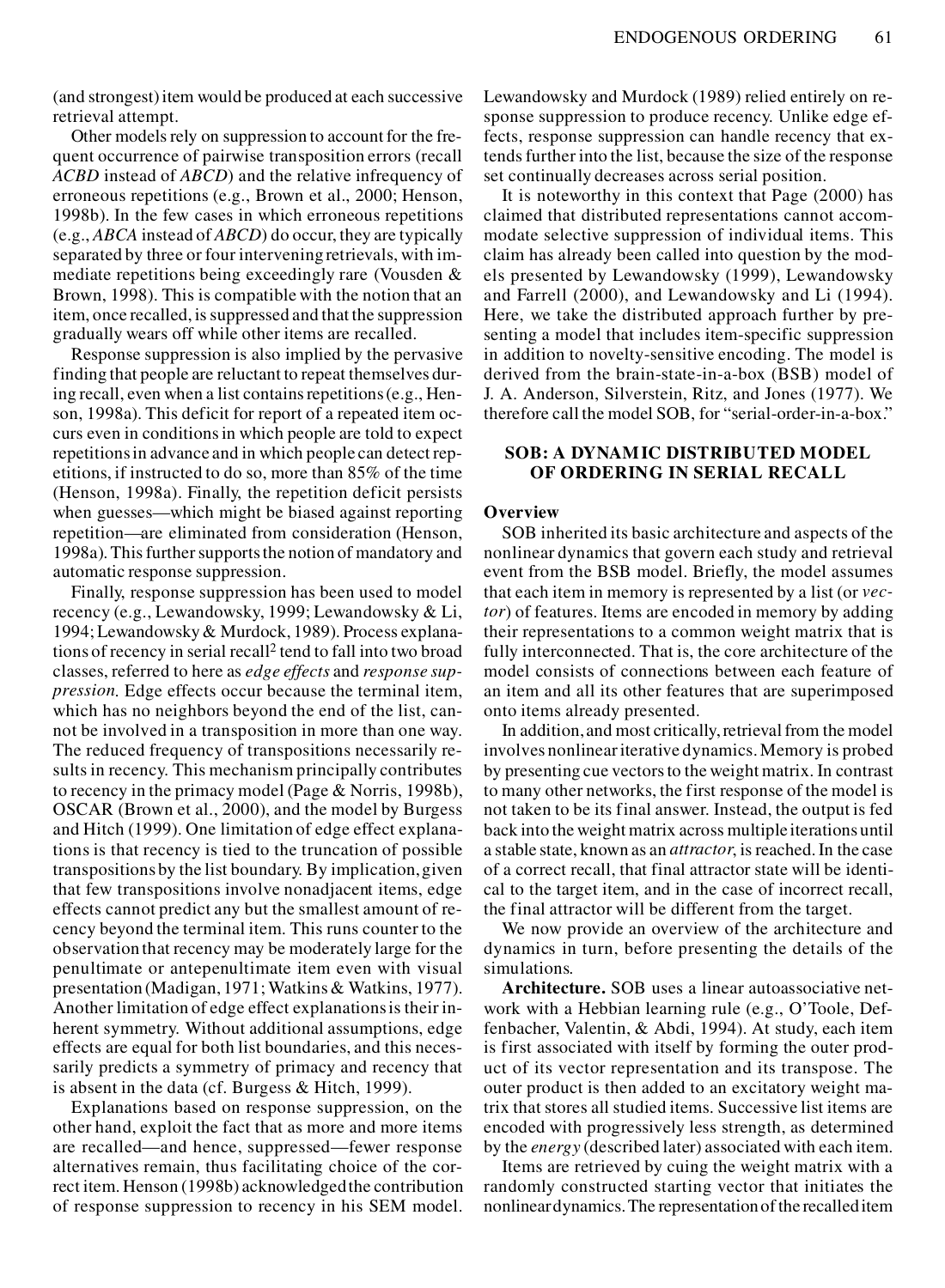(and strongest)item would be produced at each successive retrieval attempt.

Other models rely on suppression to account for the frequent occurrence of pairwise transposition errors (recall *ACBD* instead of *ABCD*) and the relative infrequency of erroneous repetitions (e.g., Brown et al., 2000; Henson, 1998b). In the few cases in which erroneous repetitions (e.g., *ABCA* instead of *ABCD*) do occur, they are typically separated by three or four intervening retrievals, with immediate repetitions being exceedingly rare (Vousden & Brown, 1998). This is compatible with the notion that an item, once recalled, is suppressed and that the suppression gradually wears off while other items are recalled.

Response suppression is also implied by the pervasive finding that people are reluctant to repeat themselves during recall, even when a list contains repetitions (e.g., Henson, 1998a). This deficit for report of a repeated item occurs even in conditions in which people are told to expect repetitionsin advance and in which people can detect repetitions, if instructed to do so, more than 85% of the time (Henson, 1998a). Finally, the repetition deficit persists when guesses—which might be biased against reporting repetition—are eliminated from consideration (Henson, 1998a). This further supportsthe notion of mandatory and automatic response suppression.

Finally, response suppression has been used to model recency (e.g., Lewandowsky, 1999; Lewandowsky & Li, 1994; Lewandowsky & Murdock, 1989). Process explanations of recency in serial recall2 tend to fall into two broad classes, referred to here as *edge effects* and *response suppression*. Edge effects occur because the terminal item, which has no neighbors beyond the end of the list, cannot be involved in a transposition in more than one way. The reduced frequency of transpositions necessarily results in recency. This mechanism principally contributes to recency in the primacy model (Page & Norris, 1998b), OSCAR (Brown et al., 2000), and the model by Burgess and Hitch (1999). One limitation of edge effect explanations is that recency is tied to the truncation of possible transpositions by the list boundary. By implication, given that few transpositions involve nonadjacent items, edge effects cannot predict any but the smallest amount of recency beyond the terminal item. This runs counter to the observation that recency may be moderately large for the penultimate or antepenultimate item even with visual presentation (Madigan, 1971; Watkins & Watkins, 1977). Another limitation of edge effect explanationsis their inherent symmetry. Without additional assumptions, edge effects are equal for both list boundaries, and this necessarily predicts a symmetry of primacy and recency that is absent in the data (cf. Burgess & Hitch, 1999).

Explanations based on response suppression, on the other hand, exploit the fact that as more and more items are recalled—and hence, suppressed—fewer response alternatives remain, thus facilitating choice of the correct item. Henson (1998b) acknowledgedthe contribution of response suppression to recency in his SEM model. Lewandowsky and Murdock (1989) relied entirely on response suppression to produce recency. Unlike edge effects, response suppression can handle recency that extends further into the list, because the size of the response set continually decreases across serial position.

It is noteworthy in this context that Page (2000) has claimed that distributed representations cannot accommodate selective suppression of individual items. This claim has already been called into question by the models presented by Lewandowsky (1999), Lewandowsky and Farrell (2000), and Lewandowsky and Li (1994). Here, we take the distributed approach further by presenting a model that includes item-specific suppression in addition to novelty-sensitive encoding. The model is derived from the brain-state-in-a-box (BSB) model of J. A. Anderson, Silverstein, Ritz, and Jones (1977). We therefore call the model SOB, for "serial-order-in-a-box."

# **SOB: A DYNAM IC DISTRIBUTED MODEL OF ORDERING IN SERIAL RECALL**

## **Overview**

SOB inherited its basic architecture and aspects of the nonlinear dynamics that govern each study and retrieval event from the BSB model. Briefly, the model assumes that each item in memory is represented by a list (or *vector*) of features. Items are encoded in memory by adding their representations to a common weight matrix that is fully interconnected. That is, the core architecture of the model consists of connections between each feature of an item and all its other features that are superimposed onto items already presented.

In addition,and most critically, retrieval from the model involves nonlineariterative dynamics.Memory is probed by presenting cue vectors to the weight matrix. In contrast to many other networks, the first response of the model is not taken to be its final answer. Instead, the output is fed back into the weight matrix across multipleiterations until a stable state, known as an *attractor*, is reached. In the case of a correct recall, that final attractor state will be identical to the target item, and in the case of incorrect recall, the final attractor will be different from the target.

We now provide an overview of the architecture and dynamics in turn, before presenting the details of the simulations.

**Architecture.** SOB uses a linear autoassociative network with a Hebbian learning rule (e.g., O'Toole, Deffenbacher, Valentin, & Abdi, 1994). At study, each item is first associated with itself by forming the outer product of its vector representation and its transpose. The outer product is then added to an excitatory weight matrix that stores all studied items. Successive list items are encoded with progressively less strength, as determined by the *energy* (described later) associated with each item.

Items are retrieved by cuing the weight matrix with a randomly constructed starting vector that initiates the nonlinear dynamics.The representation of the recalleditem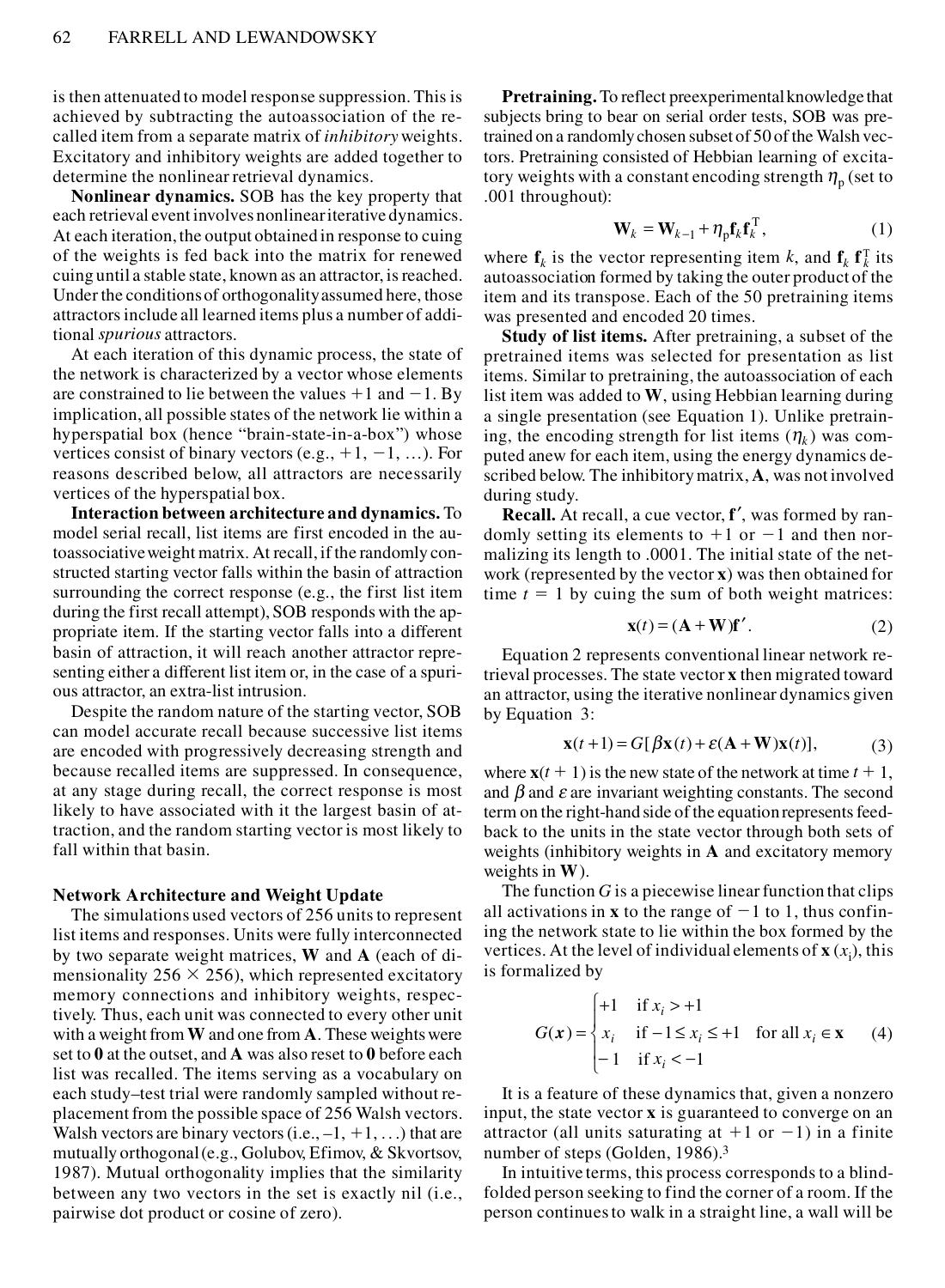is then attenuated to model response suppression. This is achieved by subtracting the autoassociation of the recalled item from a separate matrix of *inhibitory* weights. Excitatory and inhibitory weights are added together to determine the nonlinear retrieval dynamics.

**Nonlinear dynamics.** SOB has the key property that each retrieval event involves nonlineariterative dynamics. At each iteration, the output obtained in response to cuing of the weights is fed back into the matrix for renewed cuing until a stable state, known as an attractor, is reached. Under the conditions of orthogonalityassumed here, those attractors include all learned items plus a number of additional *spurious* attractors.

At each iteration of this dynamic process, the state of the network is characterized by a vector whose elements are constrained to lie between the values  $+1$  and  $-1$ . By implication, all possible states of the network lie within a hyperspatial box (hence "brain-state-in-a-box") whose vertices consist of binary vectors (e.g.,  $+1$ ,  $-1$ , ...). For reasons described below, all attractors are necessarily vertices of the hyperspatial box.

**Interaction between architecture and dynamics.** To model serial recall, list items are first encoded in the autoassociativeweight matrix. At recall, if the randomly constructed starting vector falls within the basin of attraction surrounding the correct response (e.g., the first list item during the first recall attempt), SOB responds with the appropriate item. If the starting vector falls into a different basin of attraction, it will reach another attractor representing either a different list item or, in the case of a spurious attractor, an extra-list intrusion.

Despite the random nature of the starting vector, SOB can model accurate recall because successive list items are encoded with progressively decreasing strength and because recalled items are suppressed. In consequence, at any stage during recall, the correct response is most likely to have associated with it the largest basin of attraction, and the random starting vector is most likely to fall within that basin.

#### **Network Architecture and Weight Update**

The simulations used vectors of 256 units to represent list items and responses. Units were fully interconnected by two separate weight matrices, **W** and **A** (each of dimensionality 256  $\times$  256), which represented excitatory memory connections and inhibitory weights, respectively. Thus, each unit was connected to every other unit with a weight from **W** and one from **A**. These weights were set to **0** at the outset, and **A** was also reset to **0** before each list was recalled. The items serving as a vocabulary on each study–test trial were randomly sampled without replacement from the possible space of 256 Walsh vectors. Walsh vectors are binary vectors (i.e.,  $-1, +1, \ldots$ ) that are mutually orthogonal (e.g., Golubov, Efimov, & Skvortsov, 1987). Mutual orthogonality implies that the similarity between any two vectors in the set is exactly nil (i.e., pairwise dot product or cosine of zero).

**Pretraining.** To reflect preexperimental knowledge that subjects bring to bear on serial order tests, SOB was pretrained on a randomly chosen subset of 50 of the Walsh vectors. Pretraining consisted of Hebbian learning of excitatory weights with a constant encoding strength  $\eta_{\rm p}$  (set to .001 throughout):

$$
\mathbf{W}_k = \mathbf{W}_{k-1} + \eta_p \mathbf{f}_k \mathbf{f}_k^{\mathrm{T}},\tag{1}
$$

where  $f_k$  is the vector representing item *k*, and  $f_k$   $f_k^T$  its autoassociation formed by taking the outer product of the item and its transpose. Each of the 50 pretraining items was presented and encoded 20 times.

**Study of list items.** After pretraining, a subset of the pretrained items was selected for presentation as list items. Similar to pretraining, the autoassociation of each list item was added to **W**, using Hebbian learning during a single presentation (see Equation 1). Unlike pretraining, the encoding strength for list items  $(\eta_k)$  was computed anew for each item, using the energy dynamics described below. The inhibitory matrix, **A**, was not involved during study.

**Recall.** At recall, a cue vector, **f**<sup>'</sup>, was formed by randomly setting its elements to  $+1$  or  $-1$  and then normalizing its length to .0001. The initial state of the network (represented by the vector **x**) was then obtained for time  $t = 1$  by cuing the sum of both weight matrices:

$$
\mathbf{x}(t) = (\mathbf{A} + \mathbf{W})\mathbf{f}'.
$$
 (2)

Equation 2 represents conventional linear network retrieval processes. The state vector **x** then migrated toward an attractor, using the iterative nonlinear dynamics given by Equation 3:

$$
\mathbf{x}(t+1) = G[\beta \mathbf{x}(t) + \varepsilon (\mathbf{A} + \mathbf{W}) \mathbf{x}(t)],\tag{3}
$$

where  $\mathbf{x}(t+1)$  is the new state of the network at time  $t+1$ , and  $\beta$  and  $\varepsilon$  are invariant weighting constants. The second term on the right-hand side of the equation represents feedback to the units in the state vector through both sets of weights (inhibitory weights in **A** and excitatory memory weights in **W**).

The function *G* is a piecewise linear function that clips all activations in **x** to the range of  $-1$  to 1, thus confining the network state to lie within the box formed by the vertices. At the level of individual elements of  $\mathbf{x}(x_i)$ , this is formalized by

$$
G(\mathbf{x}) = \begin{cases} +1 & \text{if } x_i > +1 \\ x_i & \text{if } -1 \le x_i \le +1 \\ -1 & \text{if } x_i < -1 \end{cases} \quad \text{for all } x_i \in \mathbf{x} \qquad (4)
$$

It is a feature of these dynamics that, given a nonzero input, the state vector **x** is guaranteed to converge on an attractor (all units saturating at  $+1$  or  $-1$ ) in a finite number of steps (Golden, 1986).3

In intuitive terms, this process corresponds to a blindfolded person seeking to find the corner of a room. If the person continues to walk in a straight line, a wall will be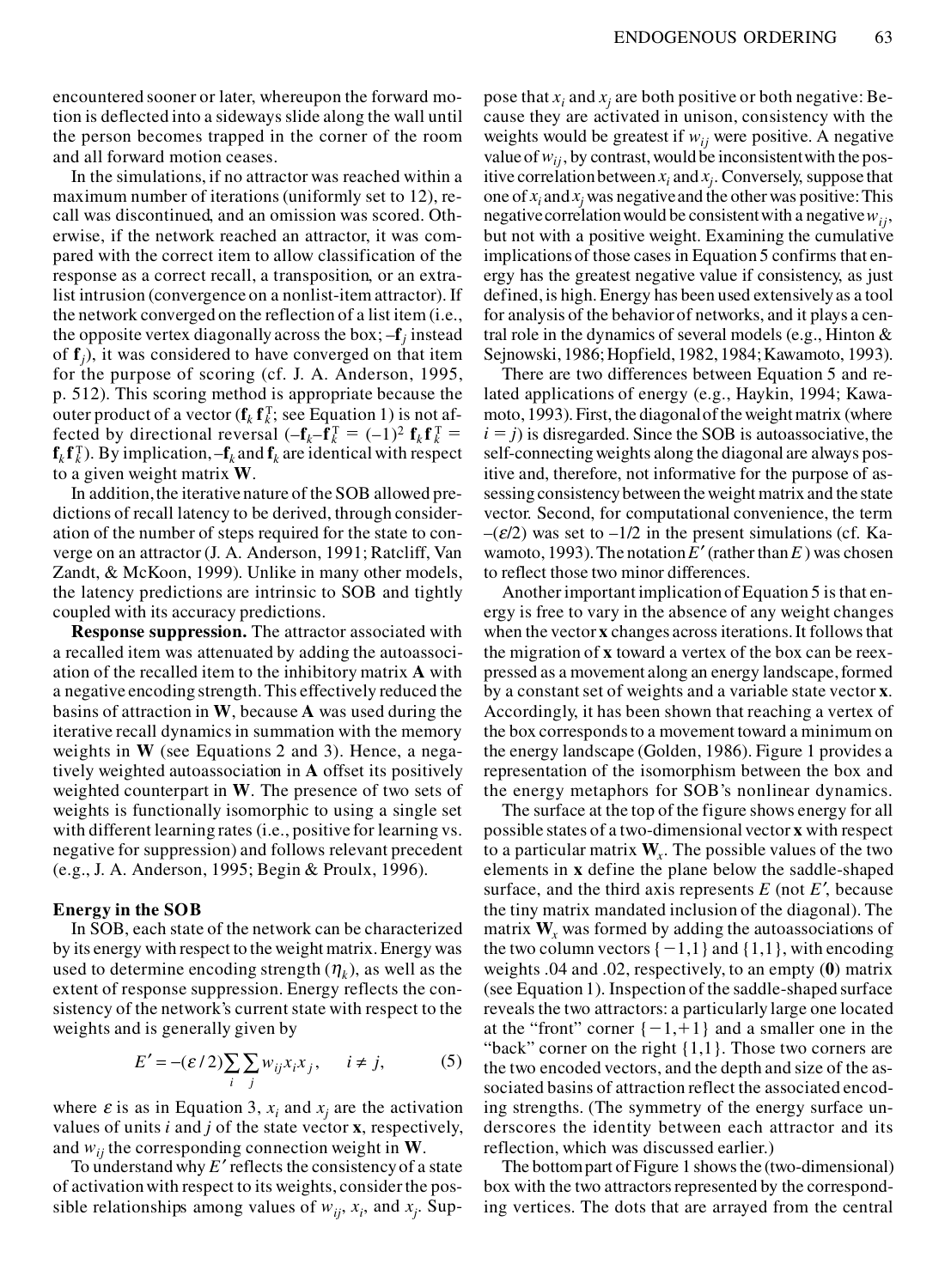encountered sooner or later, whereupon the forward motion is deflected into a sideways slide along the wall until the person becomes trapped in the corner of the room and all forward motion ceases.

In the simulations, if no attractor was reached within a maximum number of iterations (uniformly set to 12), recall was discontinued, and an omission was scored. Otherwise, if the network reached an attractor, it was compared with the correct item to allow classification of the response as a correct recall, a transposition, or an extralist intrusion (convergence on a nonlist-item attractor). If the network converged on the reflection of a list item (i.e., the opposite vertex diagonally across the box; –**f***<sup>j</sup>* instead of **f***j*), it was considered to have converged on that item for the purpose of scoring (cf. J. A. Anderson, 1995, p. 512). This scoring method is appropriate because the outer product of a vector  $(f_k f_k^T)$ ; see Equation 1) is not affected by directional reversal  $(-\mathbf{f}_k - \mathbf{f}_k^T) = (-1)^2 \mathbf{f}_k \mathbf{f}_k^T =$  $\mathbf{f}_k \mathbf{f}_k^{\mathrm{T}}$ ). By implication,  $-\mathbf{f}_k$  and  $\mathbf{f}_k$  are identical with respect to a given weight matrix **W**.

In addition,the iterative nature of the SOB allowed predictions of recall latency to be derived, through consideration of the number of steps required for the state to converge on an attractor (J. A. Anderson, 1991; Ratcliff, Van Zandt, & McKoon, 1999). Unlike in many other models, the latency predictions are intrinsic to SOB and tightly coupled with its accuracy predictions.

**Response suppression.** The attractor associated with a recalled item was attenuated by adding the autoassociation of the recalled item to the inhibitory matrix **A** with a negative encoding strength. This effectively reduced the basins of attraction in **W**, because **A** was used during the iterative recall dynamics in summation with the memory weights in **W** (see Equations 2 and 3). Hence, a negatively weighted autoassociation in **A** offset its positively weighted counterpart in **W**. The presence of two sets of weights is functionally isomorphic to using a single set with different learning rates (i.e., positive for learning vs. negative for suppression) and follows relevant precedent (e.g., J. A. Anderson, 1995; Begin & Proulx, 1996).

#### **Energy in the SOB**

In SOB, each state of the network can be characterized by its energy with respect to the weight matrix. Energy was used to determine encoding strength  $(\eta_k)$ , as well as the extent of response suppression. Energy reflects the consistency of the network's current state with respect to the weights and is generally given by

$$
E' = -(\varepsilon/2) \sum_{i} \sum_{j} w_{ij} x_i x_j, \quad i \neq j,
$$
 (5)

where  $\varepsilon$  is as in Equation 3,  $x_i$  and  $x_j$  are the activation values of units *i* and *j* of the state vector **x**, respectively, and  $w_{ij}$  the corresponding connection weight in **W**.

To understand why  $E'$  reflects the consistency of a state of activation with respect to its weights, consider the possible relationships among values of  $w_{ij}$ ,  $x_i$ , and  $x_j$ . Sup-

pose that  $x_i$  and  $x_j$  are both positive or both negative: Because they are activated in unison, consistency with the weights would be greatest if  $w_{ij}$  were positive. A negative value of  $w_{ii}$ , by contrast, would be inconsistent with the positive correlation between  $x_i$  and  $x_j$ . Conversely, suppose that one of *xi* and *xj* was negativeand the other was positive:This negative correlation would be consistent with a negative  $w_{ii}$ , but not with a positive weight. Examining the cumulative implications of those cases in Equation 5 confirms that energy has the greatest negative value if consistency, as just defined, is high. Energy has been used extensively as a tool for analysis of the behavior of networks, and it plays a central role in the dynamics of several models (e.g., Hinton & Sejnowski, 1986; Hopfield, 1982, 1984;Kawamoto, 1993).

There are two differences between Equation 5 and related applications of energy (e.g., Haykin, 1994; Kawamoto, 1993). First, the diagonalof the weight matrix (where  $i = j$ ) is disregarded. Since the SOB is autoassociative, the self-connecting weights along the diagonal are always positive and, therefore, not informative for the purpose of assessing consistency between the weight matrix and the state vector. Second, for computational convenience, the term  $-(\varepsilon/2)$  was set to  $-1/2$  in the present simulations (cf. Kawamoto, 1993). The notation  $E'$  (rather than E) was chosen to reflect those two minor differences.

Another important implication of Equation 5 is that energy is free to vary in the absence of any weight changes when the vector **x** changes across iterations. It follows that the migration of **x** toward a vertex of the box can be reexpressed as a movement along an energy landscape, formed by a constant set of weights and a variable state vector **x**. Accordingly, it has been shown that reaching a vertex of the box corresponds to a movement toward a minimum on the energy landscape (Golden, 1986). Figure 1 provides a representation of the isomorphism between the box and the energy metaphors for SOB's nonlinear dynamics.

The surface at the top of the figure shows energy for all possible states of a two-dimensional vector **x** with respect to a particular matrix  $W_r$ . The possible values of the two elements in **x** define the plane below the saddle-shaped surface, and the third axis represents  $E$  (not  $E'$ , because the tiny matrix mandated inclusion of the diagonal). The matrix **W**<sub>x</sub> was formed by adding the autoassociations of the two column vectors  $\{-1,1\}$  and  $\{1,1\}$ , with encoding weights .04 and .02, respectively, to an empty (**0**) matrix (see Equation 1). Inspection of the saddle-shaped surface reveals the two attractors: a particularly large one located at the "front" corner  $\{-1,+1\}$  and a smaller one in the "back" corner on the right  $\{1,1\}$ . Those two corners are the two encoded vectors, and the depth and size of the associated basins of attraction reflect the associated encoding strengths. (The symmetry of the energy surface underscores the identity between each attractor and its reflection, which was discussed earlier.)

The bottom part of Figure 1 shows the (two-dimensional) box with the two attractors represented by the corresponding vertices. The dots that are arrayed from the central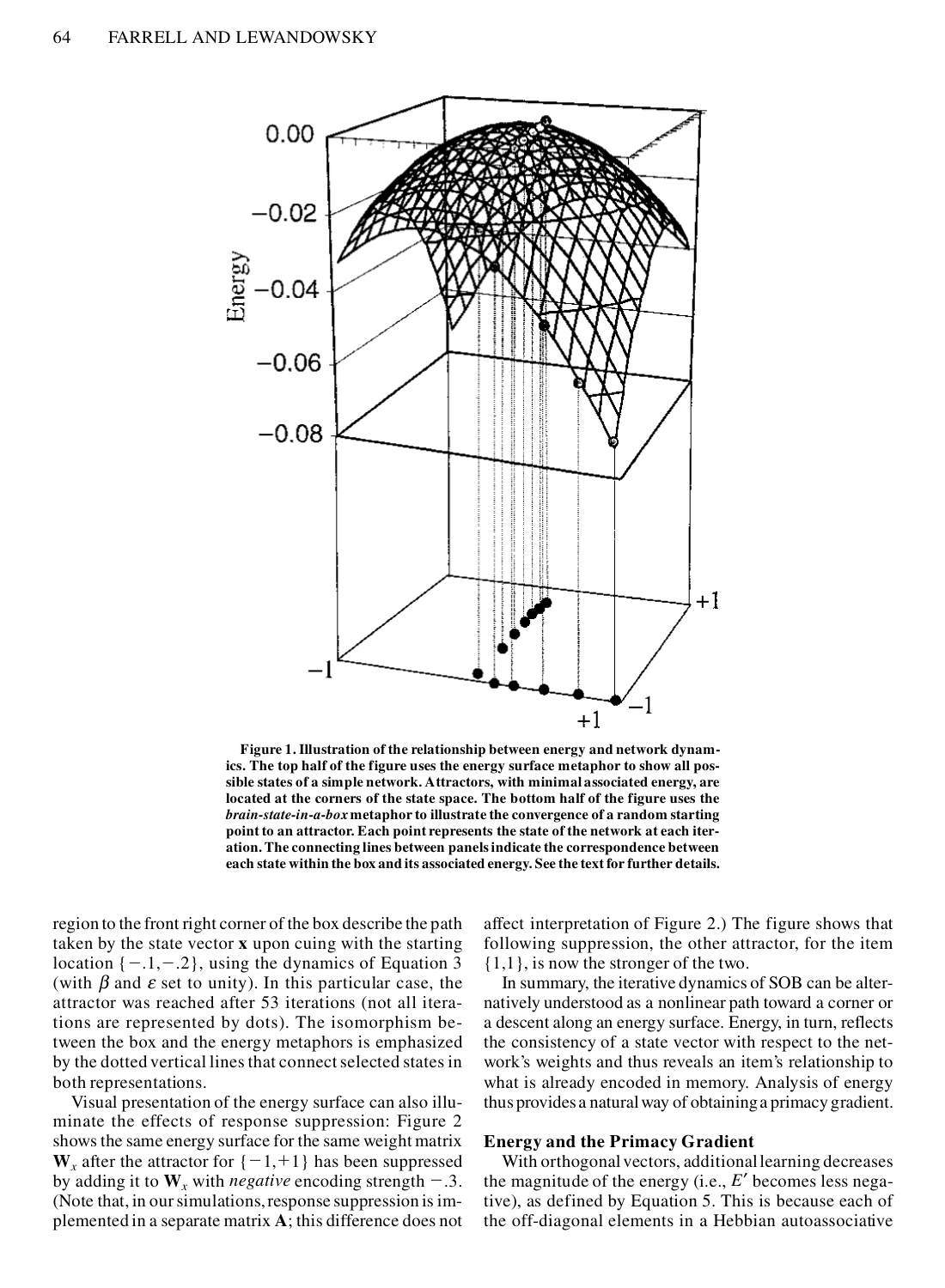

**Figure 1. Illustration of the relationship between energy and network dynamics. The top half of the figure uses the energy surface metaphor to show all possible states of a simple network. Attractors, with minimal associated energy, are located at the corners of the state space. The bottom half of the figure uses the** *brain-state-in-a-box***metaphor to illustrate the convergence of a random starting point to an attractor. Each point represents the state of the network at each iteration. The connecting lines between panels indicate the correspondence between each state within the box and its associated energy. See the text for further details.**

region to the front right corner of the box describe the path taken by the state vector **x** upon cuing with the starting location  $\{-1,-.2\}$ , using the dynamics of Equation 3 (with  $\beta$  and  $\varepsilon$  set to unity). In this particular case, the attractor was reached after 53 iterations (not all iterations are represented by dots). The isomorphism between the box and the energy metaphors is emphasized by the dotted vertical lines that connect selected states in both representations.

Visual presentation of the energy surface can also illuminate the effects of response suppression: Figure 2 shows the same energy surface for the same weight matrix  $W_x$  after the attractor for  $\{-1, +1\}$  has been suppressed by adding it to  $W_x$  with *negative* encoding strength  $-.3$ . (Note that, in our simulations, response suppression is implemented in a separate matrix **A**; this difference does not affect interpretation of Figure 2.) The figure shows that following suppression, the other attractor, for the item {1,1}, is now the stronger of the two.

In summary, the iterative dynamics of SOB can be alternatively understood as a nonlinear path toward a corner or a descent along an energy surface. Energy, in turn, reflects the consistency of a state vector with respect to the network's weights and thus reveals an item's relationship to what is already encoded in memory. Analysis of energy thus provides a natural way of obtaininga primacy gradient.

#### **Energy and the Primacy Gradient**

With orthogonal vectors, additional learning decreases the magnitude of the energy (i.e.,  $E'$  becomes less negative), as defined by Equation 5. This is because each of the off-diagonal elements in a Hebbian autoassociative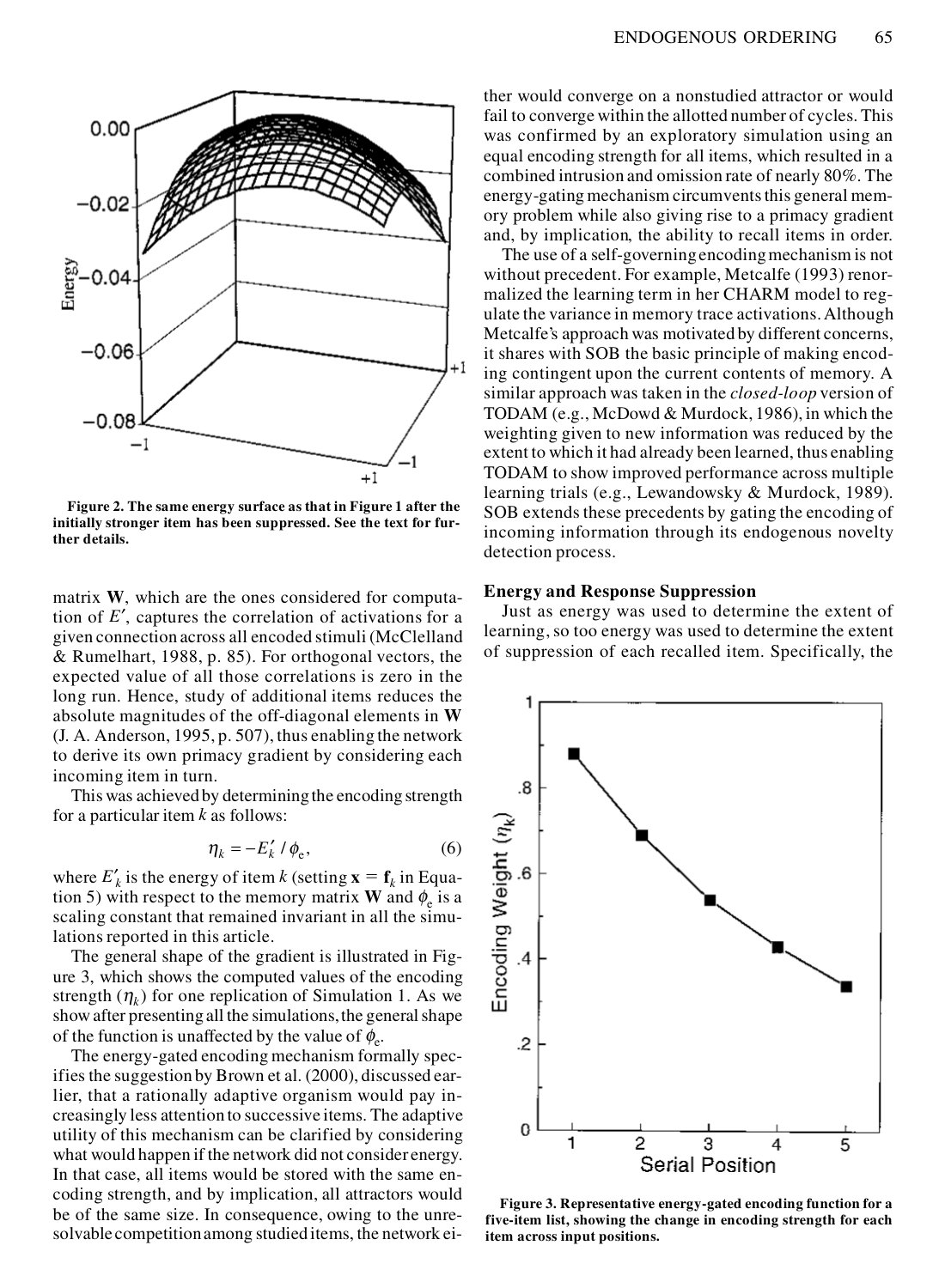

**Figure 2. The same energy surface as that in Figure 1 after the initially stronger item has been suppressed. See the text for further details.**

matrix **W**, which are the ones considered for computation of *E*¢, captures the correlation of activations for a given connection across all encoded stimuli (McClelland & Rumelhart, 1988, p. 85). For orthogonal vectors, the expected value of all those correlations is zero in the long run. Hence, study of additional items reduces the absolute magnitudes of the off-diagonal elements in **W** (J. A. Anderson, 1995, p. 507), thus enabling the network to derive its own primacy gradient by considering each incoming item in turn.

This was achieved by determiningthe encoding strength for a particular item *k* as follows:

$$
\eta_k = -E'_k / \phi_e,\tag{6}
$$

where  $E'_k$  is the energy of item *k* (setting  $\mathbf{x} = \mathbf{f}_k$  in Equation 5) with respect to the memory matrix **W** and  $\phi_e$  is a scaling constant that remained invariant in all the simulations reported in this article.

The general shape of the gradient is illustrated in Figure 3, which shows the computed values of the encoding strength  $(\eta_k)$  for one replication of Simulation 1. As we show after presenting all the simulations, the general shape of the function is unaffected by the value of  $\phi$ .

The energy-gated encoding mechanism formally specifies the suggestion by Brown et al. (2000), discussed earlier, that a rationally adaptive organism would pay increasingly less attentionto successive items. The adaptive utility of this mechanism can be clarified by considering what would happen if the network did not consider energy. In that case, all items would be stored with the same encoding strength, and by implication, all attractors would be of the same size. In consequence, owing to the unresolvable competitionamong studieditems, the network either would converge on a nonstudied attractor or would fail to converge within the allotted number of cycles. This was confirmed by an exploratory simulation using an equal encoding strength for all items, which resulted in a combined intrusion and omission rate of nearly 80%. The energy-gating mechanism circumvents this general memory problem while also giving rise to a primacy gradient and, by implication, the ability to recall items in order.

The use of a self-governing encoding mechanism is not without precedent. For example, Metcalfe (1993) renormalized the learning term in her CHARM model to regulate the variance in memory trace activations. Although Metcalfe's approach was motivated by different concerns, it shares with SOB the basic principle of making encoding contingent upon the current contents of memory. A similar approach was taken in the *closed-loop* version of TODAM (e.g., McDowd & Murdock, 1986), in which the weighting given to new information was reduced by the extent to which it had already been learned, thus enabling TODAM to show improved performance across multiple learning trials (e.g., Lewandowsky & Murdock, 1989). SOB extends these precedents by gating the encoding of incoming information through its endogenous novelty detection process.

#### **Energy and Response Suppression**

Just as energy was used to determine the extent of learning, so too energy was used to determine the extent of suppression of each recalled item. Specifically, the



**Figure 3. Representative energy-gated encoding function for a five-item list, showing the change in encoding strength for each item across input positions.**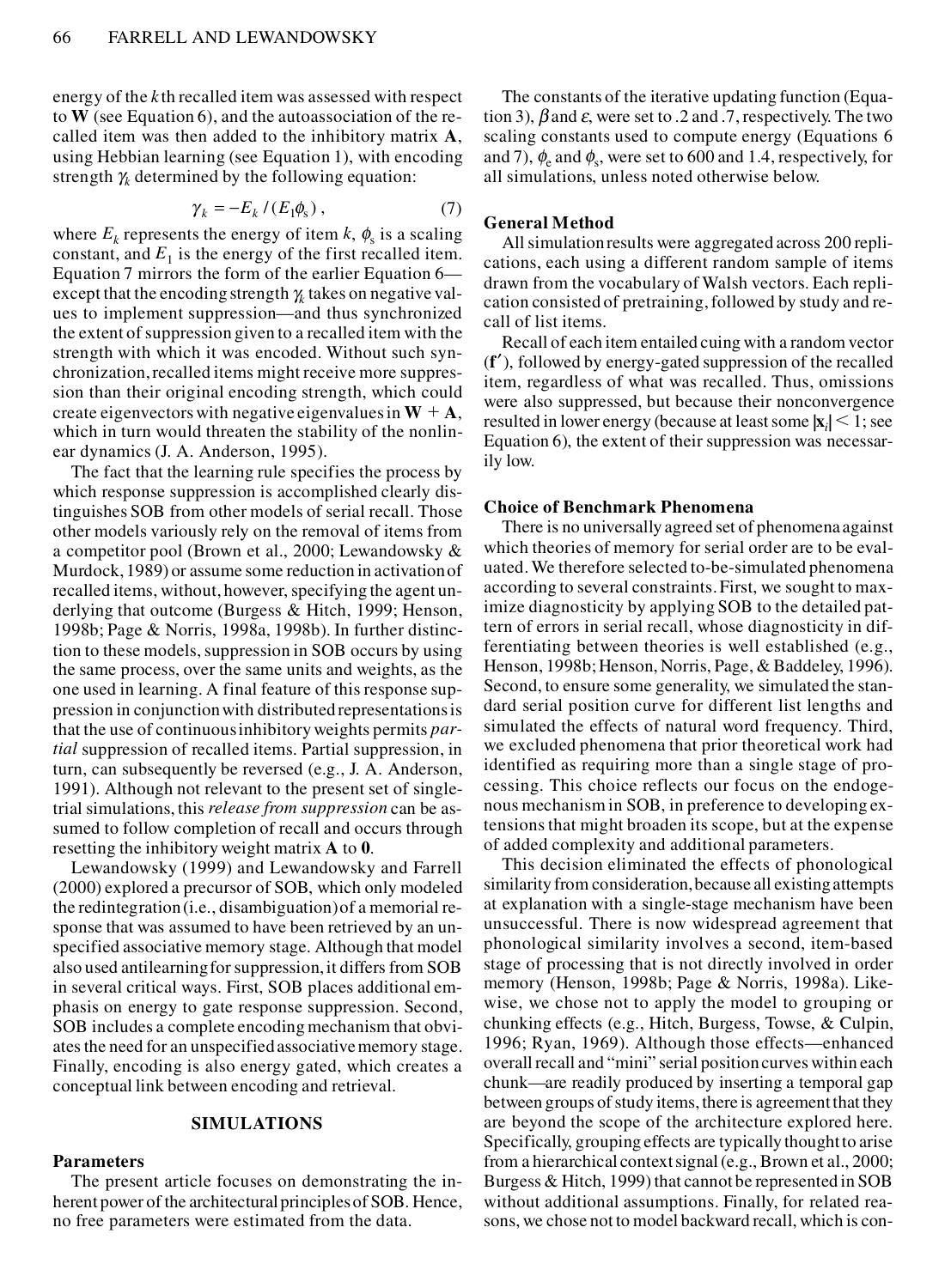energy of the *k* th recalled item was assessed with respect to **W** (see Equation 6), and the autoassociation of the recalled item was then added to the inhibitory matrix **A**, using Hebbian learning (see Equation 1), with encoding strength  $\gamma_k$  determined by the following equation:

$$
\gamma_k = -E_k / (E_1 \phi_s), \tag{7}
$$

where  $E_k$  represents the energy of item  $k$ ,  $\phi_s$  is a scaling constant and  $E_s$  is the energy of the first recalled item constant, and  $E_1$  is the energy of the first recalled item. Equation 7 mirrors the form of the earlier Equation 6 except that the encoding strength  $\gamma_k$  takes on negative values to implement suppression—and thus synchronized the extent of suppression given to a recalled item with the strength with which it was encoded. Without such synchronization, recalled items might receive more suppression than their original encoding strength, which could create eigenvectors with negative eigenvalues in  $W + A$ , which in turn would threaten the stability of the nonlinear dynamics (J. A. Anderson, 1995).

The fact that the learning rule specifies the process by which response suppression is accomplished clearly distinguishes SOB from other models of serial recall. Those other models variously rely on the removal of items from a competitor pool (Brown et al., 2000; Lewandowsky & Murdock, 1989) or assume some reduction in activation of recalled items, without, however, specifying the agent underlying that outcome (Burgess & Hitch, 1999; Henson, 1998b; Page & Norris, 1998a, 1998b). In further distinction to these models, suppression in SOB occurs by using the same process, over the same units and weights, as the one used in learning. A final feature of this response suppression in conjunctionwith distributed representationsis that the use of continuousinhibitory weights permits *partial* suppression of recalled items. Partial suppression, in turn, can subsequently be reversed (e.g., J. A. Anderson, 1991). Although not relevant to the present set of singletrial simulations, this *release from suppression* can be assumed to follow completion of recall and occurs through resetting the inhibitory weight matrix **A** to **0**.

Lewandowsky (1999) and Lewandowsky and Farrell (2000) explored a precursor of SOB, which only modeled the redintegration (i.e., disambiguation)of a memorial response that was assumed to have been retrieved by an unspecified associative memory stage. Although that model also used antilearning for suppression, it differs from SOB in several critical ways. First, SOB places additional emphasis on energy to gate response suppression. Second, SOB includes a complete encoding mechanism that obviates the need for an unspecified associativememory stage. Finally, encoding is also energy gated, which creates a conceptual link between encoding and retrieval.

# **SIMULATIONS**

#### **Parameters**

The present article focuses on demonstrating the inherent power of the architectural principles of SOB. Hence, no free parameters were estimated from the data.

The constants of the iterative updating function (Equation 3),  $\beta$  and  $\varepsilon$ , were set to .2 and .7, respectively. The two scaling constants used to compute energy (Equations 6 and 7),  $\phi$  and  $\phi$ , were set to 600 and 1.4, respectively, for all simulations, unless noted otherwise below.

## **General Method**

All simulation results were aggregated across 200 replications, each using a different random sample of items drawn from the vocabulary of Walsh vectors. Each replication consisted of pretraining, followed by study and recall of list items.

Recall of each item entailed cuing with a random vector (**f**¢), followed by energy-gated suppression of the recalled item, regardless of what was recalled. Thus, omissions were also suppressed, but because their nonconvergence resulted in lower energy (because at least some  $|\mathbf{x}_i| \leq 1$ ; see Equation 6), the extent of their suppression was necessarily low.

#### **Choice of Benchmark Phenomena**

There is no universally agreed set of phenomena against which theories of memory for serial order are to be evaluated.We therefore selected to-be-simulated phenomena according to several constraints. First, we sought to maximize diagnosticity by applying SOB to the detailed pattern of errors in serial recall, whose diagnosticity in differentiating between theories is well established (e.g., Henson, 1998b; Henson, Norris, Page, & Baddeley, 1996). Second, to ensure some generality, we simulated the standard serial position curve for different list lengths and simulated the effects of natural word frequency. Third, we excluded phenomena that prior theoretical work had identified as requiring more than a single stage of processing. This choice reflects our focus on the endogenous mechanism in SOB, in preference to developing extensions that might broaden its scope, but at the expense of added complexity and additional parameters.

This decision eliminated the effects of phonological similarity from consideration,because all existing attempts at explanation with a single-stage mechanism have been unsuccessful. There is now widespread agreement that phonological similarity involves a second, item-based stage of processing that is not directly involved in order memory (Henson, 1998b; Page & Norris, 1998a). Likewise, we chose not to apply the model to grouping or chunking effects (e.g., Hitch, Burgess, Towse, & Culpin, 1996; Ryan, 1969). Although those effects—enhanced overall recall and "mini" serial position curves within each chunk—are readily produced by inserting a temporal gap between groups of study items, there is agreement that they are beyond the scope of the architecture explored here. Specifically, grouping effects are typically thought to arise from a hierarchical context signal (e.g., Brown et al., 2000; Burgess & Hitch, 1999) that cannot be represented in SOB without additional assumptions. Finally, for related reasons, we chose not to model backward recall, which is con-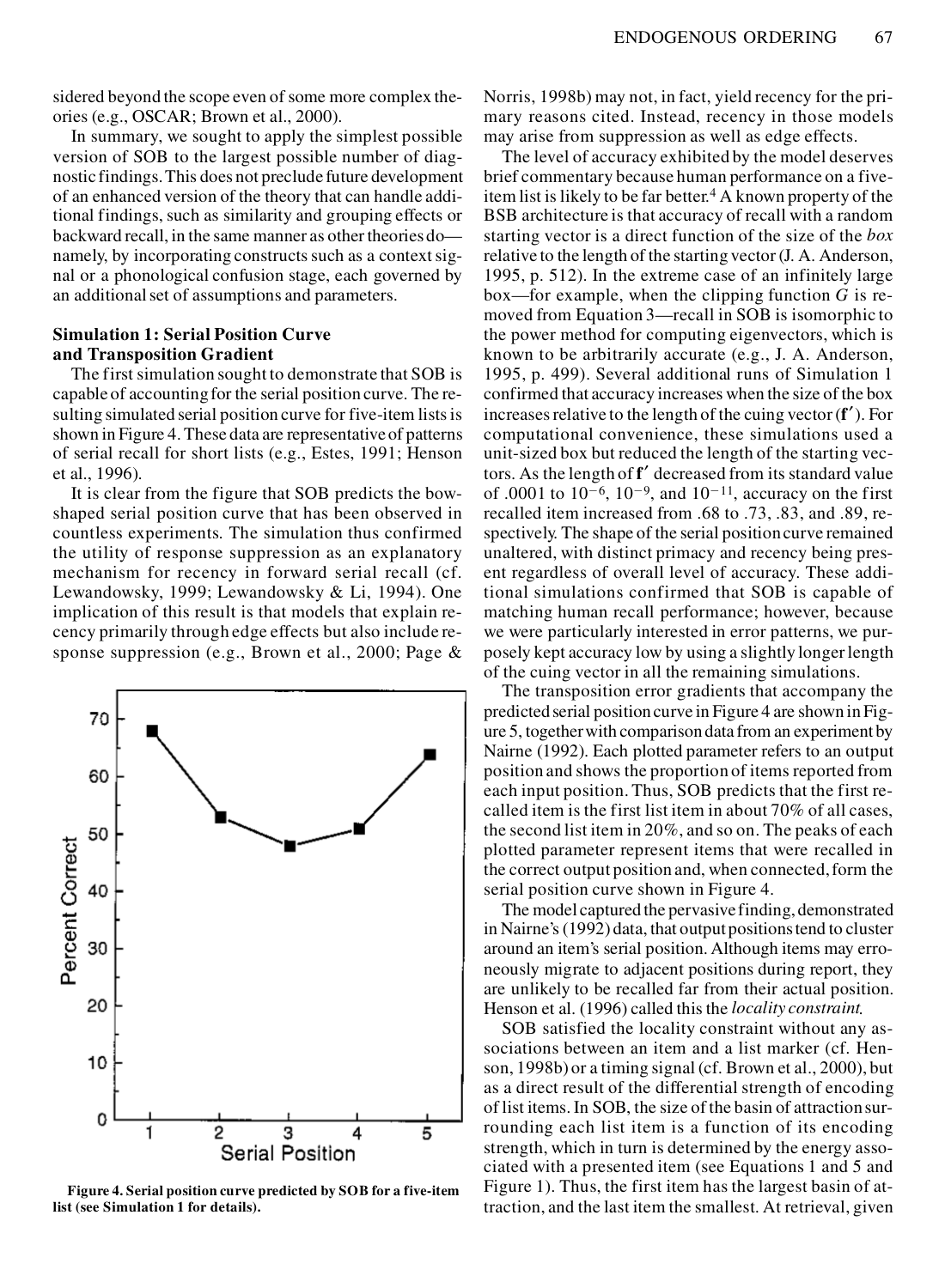sidered beyond the scope even of some more complex theories (e.g., OSCAR; Brown et al., 2000).

In summary, we sought to apply the simplest possible version of SOB to the largest possible number of diagnostic findings.This does not preclude future development of an enhanced version of the theory that can handle additional findings, such as similarity and grouping effects or backward recall, in the same manner as other theories do namely, by incorporating constructs such as a context signal or a phonological confusion stage, each governed by an additional set of assumptions and parameters.

## **Simulation 1: Serial Position Curve and Transposition Gradient**

The first simulation sought to demonstrate that SOB is capable of accounting for the serial position curve. The resulting simulated serial position curve for five-item lists is shown in Figure 4. These data are representative of patterns of serial recall for short lists (e.g., Estes, 1991; Henson et al., 1996).

It is clear from the figure that SOB predicts the bowshaped serial position curve that has been observed in countless experiments. The simulation thus confirmed the utility of response suppression as an explanatory mechanism for recency in forward serial recall (cf. Lewandowsky, 1999; Lewandowsky & Li, 1994). One implication of this result is that models that explain recency primarily through edge effects but also include response suppression (e.g., Brown et al., 2000; Page &



**Figure 4. Serial position curve predicted by SOB for a five-item list (see Simulation 1 for details).**

Norris, 1998b) may not, in fact, yield recency for the primary reasons cited. Instead, recency in those models may arise from suppression as well as edge effects.

The level of accuracy exhibited by the model deserves brief commentary because human performance on a fiveitem list is likely to be far better.<sup>4</sup> A known property of the BSB architecture is that accuracy of recall with a random starting vector is a direct function of the size of the *box* relative to the length of the starting vector (J. A. Anderson, 1995, p. 512). In the extreme case of an infinitely large box—for example, when the clipping function *G* is removed from Equation 3—recall in SOB is isomorphic to the power method for computing eigenvectors, which is known to be arbitrarily accurate (e.g., J. A. Anderson, 1995, p. 499). Several additional runs of Simulation 1 confirmed that accuracy increases when the size of the box increases relative to the length of the cuing vector (**f**¢). For computational convenience, these simulations used a unit-sized box but reduced the length of the starting vectors. As the length of **f**¢ decreased from its standard value of .0001 to  $10^{-6}$ ,  $10^{-9}$ , and  $10^{-11}$ , accuracy on the first recalled item increased from .68 to .73, .83, and .89, respectively. The shape of the serial position curve remained unaltered, with distinct primacy and recency being present regardless of overall level of accuracy. These additional simulations confirmed that SOB is capable of matching human recall performance; however, because we were particularly interested in error patterns, we purposely kept accuracy low by using a slightly longer length of the cuing vector in all the remaining simulations.

The transposition error gradients that accompany the predicted serial position curve in Figure 4 are shown in Figure 5, togetherwith comparison data from an experiment by Nairne (1992). Each plotted parameter refers to an output position and shows the proportion of items reported from each input position. Thus, SOB predicts that the first recalled item is the first list item in about 70% of all cases, the second list item in 20%, and so on. The peaks of each plotted parameter represent items that were recalled in the correct output position and, when connected, form the serial position curve shown in Figure 4.

The model captured the pervasive finding, demonstrated in Nairne's (1992) data, that output positionstend to cluster around an item's serial position. Although items may erroneously migrate to adjacent positions during report, they are unlikely to be recalled far from their actual position. Henson et al. (1996) called this the *locality constraint*.

SOB satisfied the locality constraint without any associations between an item and a list marker (cf. Henson, 1998b) or a timing signal (cf. Brown et al., 2000), but as a direct result of the differential strength of encoding of list items. In SOB, the size of the basin of attraction surrounding each list item is a function of its encoding strength, which in turn is determined by the energy associated with a presented item (see Equations 1 and 5 and Figure 1). Thus, the first item has the largest basin of attraction, and the last item the smallest. At retrieval, given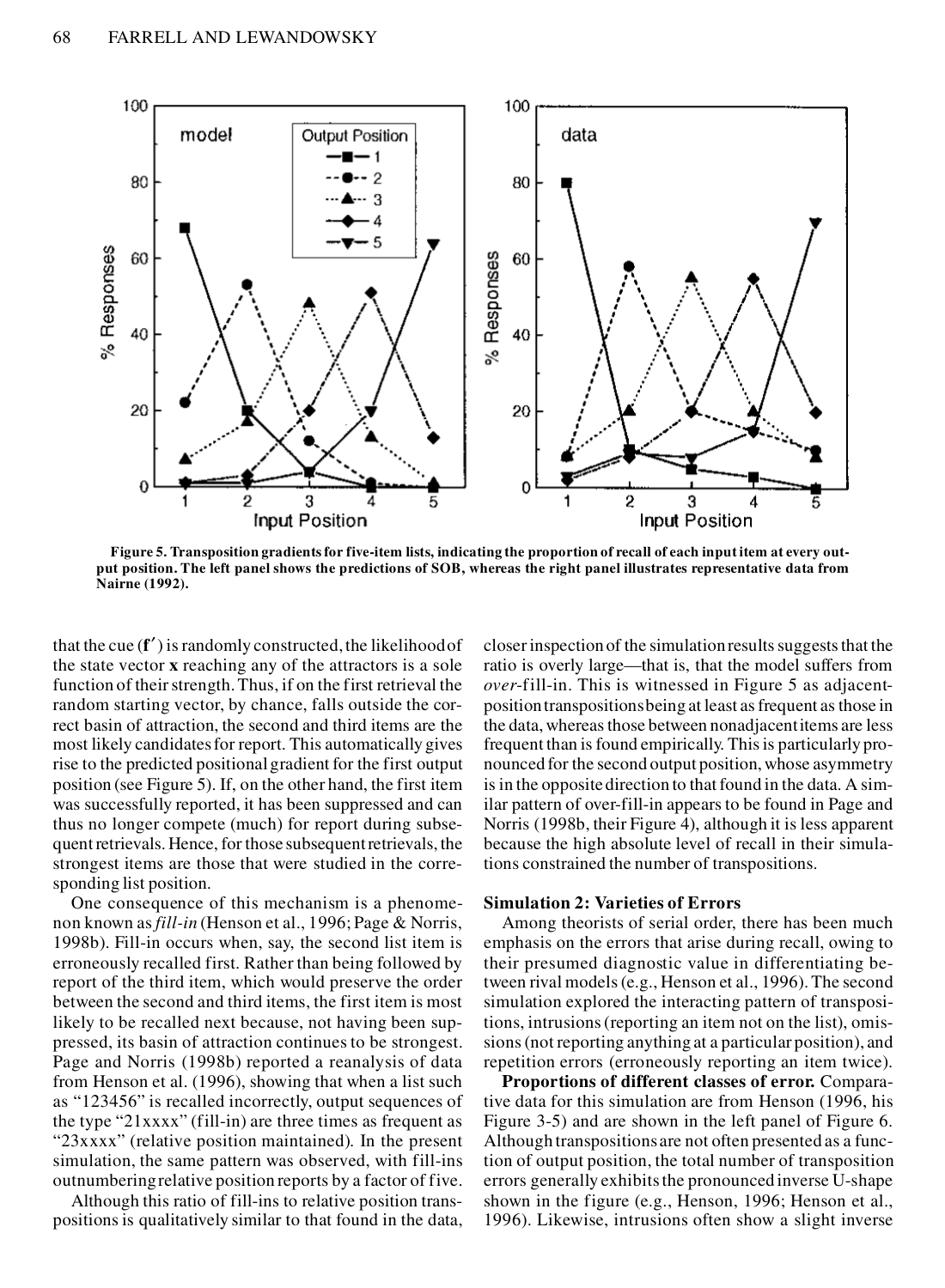

**Figure 5. Transposition gradients for five-item lists, indicating the proportion of recall of each input item at every output position. The left panel shows the predictions of SOB, whereas the right panel illustrates representative data from Nairne (1992).**

that the cue  $(f')$  is randomly constructed, the likelihood of the state vector **x** reaching any of the attractors is a sole function of their strength. Thus, if on the first retrieval the random starting vector, by chance, falls outside the correct basin of attraction, the second and third items are the most likely candidates for report. This automatically gives rise to the predicted positional gradient for the first output position (see Figure 5). If, on the other hand, the first item was successfully reported, it has been suppressed and can thus no longer compete (much) for report during subsequent retrievals. Hence, for those subsequent retrievals, the strongest items are those that were studied in the corresponding list position.

One consequence of this mechanism is a phenomenon known as*fill-in* (Henson et al., 1996; Page & Norris, 1998b). Fill-in occurs when, say, the second list item is erroneously recalled first. Rather than being followed by report of the third item, which would preserve the order between the second and third items, the first item is most likely to be recalled next because, not having been suppressed, its basin of attraction continues to be strongest. Page and Norris (1998b) reported a reanalysis of data from Henson et al. (1996), showing that when a list such as "123456" is recalled incorrectly, output sequences of the type "21xxxx" (fill-in) are three times as frequent as "23xxxx" (relative position maintained). In the present simulation, the same pattern was observed, with fill-ins outnumbering relative position reports by a factor of five.

Although this ratio of fill-ins to relative position transpositions is qualitatively similar to that found in the data, closer inspection of the simulation results suggests that the ratio is overly large—that is, that the model suffers from *over*-fill-in. This is witnessed in Figure 5 as adjacentpositiontranspositionsbeing at least as frequent as those in the data, whereas those between nonadjacentitems are less frequent than is found empirically. This is particularly pronounced for the second output position, whose asymmetry is in the opposite direction to that found in the data. A similar pattern of over-fill-in appears to be found in Page and Norris (1998b, their Figure 4), although it is less apparent because the high absolute level of recall in their simulations constrained the number of transpositions.

#### **Simulation 2: Varieties of Errors**

Among theorists of serial order, there has been much emphasis on the errors that arise during recall, owing to their presumed diagnostic value in differentiating between rival models (e.g., Henson et al., 1996). The second simulation explored the interacting pattern of transpositions, intrusions (reporting an item not on the list), omissions (not reporting anything at a particular position), and repetition errors (erroneously reporting an item twice).

**Proportions of different classes of error.** Comparative data for this simulation are from Henson (1996, his Figure 3-5) and are shown in the left panel of Figure 6. Although transpositionsare not often presented as a function of output position, the total number of transposition errors generally exhibitsthe pronouncedinverse U-shape shown in the figure (e.g., Henson, 1996; Henson et al., 1996). Likewise, intrusions often show a slight inverse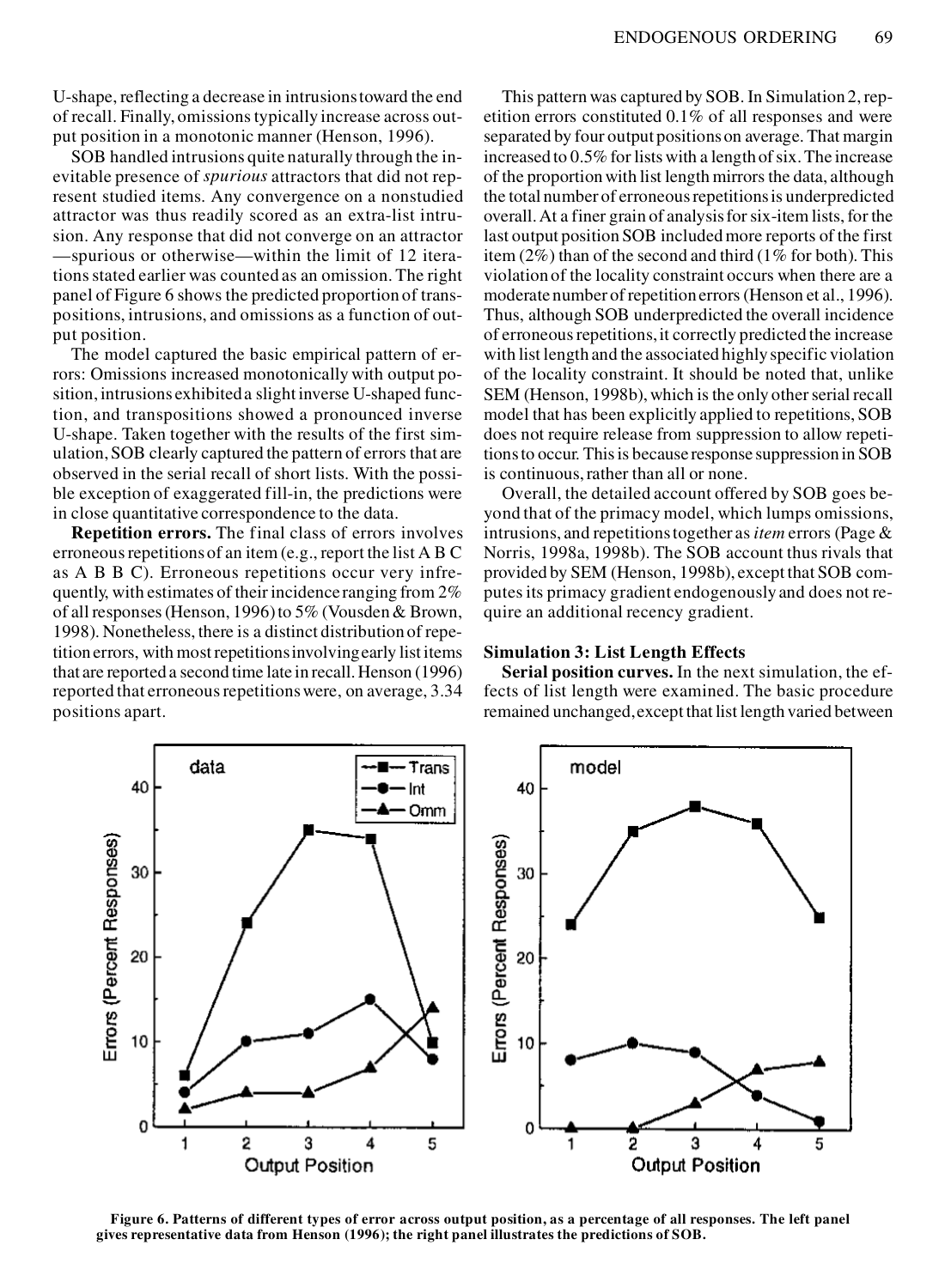U-shape, reflecting a decrease in intrusionstoward the end of recall. Finally, omissions typicallyincrease across output position in a monotonic manner (Henson, 1996).

SOB handled intrusions quite naturally through the inevitable presence of *spurious* attractors that did not represent studied items. Any convergence on a nonstudied attractor was thus readily scored as an extra-list intrusion. Any response that did not converge on an attractor —spurious or otherwise—within the limit of 12 iterations stated earlier was counted as an omission. The right panel of Figure 6 shows the predicted proportion of transpositions, intrusions, and omissions as a function of output position.

The model captured the basic empirical pattern of errors: Omissions increased monotonically with output position, intrusions exhibited a slight inverse U-shaped function, and transpositions showed a pronounced inverse U-shape. Taken together with the results of the first simulation, SOB clearly captured the pattern of errors that are observed in the serial recall of short lists. With the possible exception of exaggerated fill-in, the predictions were in close quantitative correspondence to the data.

**Repetition errors.** The final class of errors involves erroneous repetitions of an item (e.g., report the list A B C as A B B C). Erroneous repetitions occur very infrequently, with estimates of their incidence ranging from 2% of all responses (Henson, 1996) to  $5\%$  (Vousden & Brown, 1998). Nonetheless, there is a distinct distribution of repetition errors, with most repetitionsinvolvingearly list items that are reported a second time late in recall. Henson (1996) reported that erroneous repetitions were, on average, 3.34 positions apart.

This pattern was captured by SOB. In Simulation 2, repetition errors constituted 0.1% of all responses and were separated by four output positions on average. That margin increased to 0.5% for lists with a length of six. The increase of the proportion with list length mirrors the data, although the total number of erroneous repetitions is underpredicted overall.At a finer grain of analysis for six-item lists, for the last output position SOB included more reports of the first item (2%) than of the second and third (1% for both). This violation of the locality constraint occurs when there are a moderate number of repetition errors (Henson et al., 1996). Thus, although SOB underpredicted the overall incidence of erroneous repetitions,it correctly predictedthe increase with list length and the associated highly specific violation of the locality constraint. It should be noted that, unlike SEM (Henson, 1998b), which is the only other serial recall model that has been explicitly applied to repetitions, SOB does not require release from suppression to allow repetitionsto occur. This is because response suppressionin SOB is continuous, rather than all or none.

Overall, the detailed account offered by SOB goes beyond that of the primacy model, which lumps omissions, intrusions, and repetitionstogether as*item* errors (Page & Norris, 1998a, 1998b). The SOB account thus rivals that provided by SEM (Henson, 1998b), except that SOB computes its primacy gradient endogenously and does not require an additional recency gradient.

## **Simulation 3: List Length Effects**

**Serial position curves.** In the next simulation, the effects of list length were examined. The basic procedure remained unchanged,except that list length varied between



**Figure 6. Patterns of different types of error across output position, as a percentage of all responses. The left panel gives representative data from Henson (1996); the right panel illustrates the predictions of SOB.**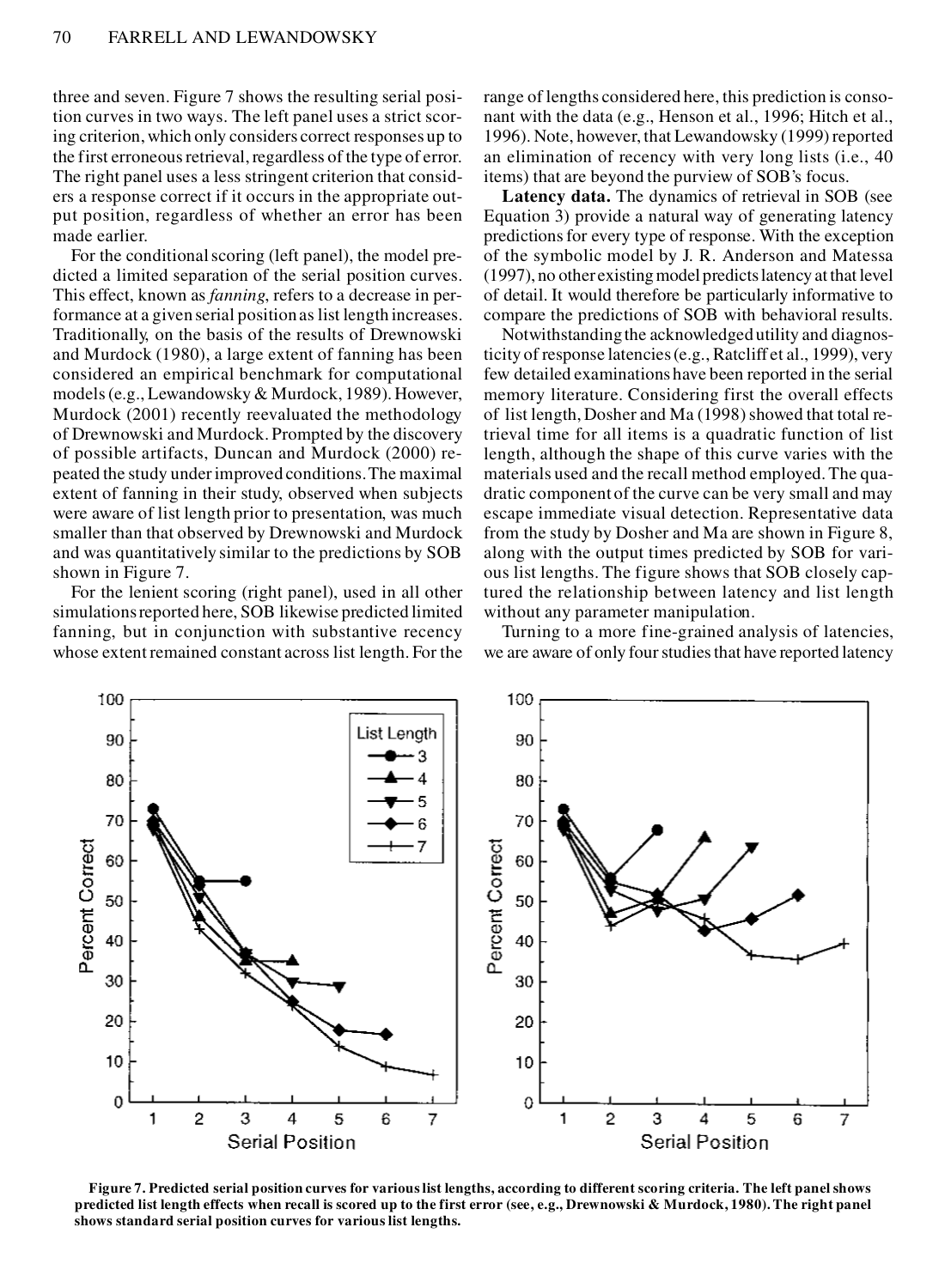three and seven. Figure 7 shows the resulting serial position curves in two ways. The left panel uses a strict scoring criterion, which only considers correct responses up to the first erroneous retrieval, regardless of the type of error. The right panel uses a less stringent criterion that considers a response correct if it occurs in the appropriate output position, regardless of whether an error has been made earlier.

For the conditional scoring (left panel), the model predicted a limited separation of the serial position curves. This effect, known as *fanning*, refers to a decrease in performance at a given serial position as list length increases. Traditionally, on the basis of the results of Drewnowski and Murdock (1980), a large extent of fanning has been considered an empirical benchmark for computational models (e.g., Lewandowsky & Murdock, 1989). However, Murdock (2001) recently reevaluated the methodology of Drewnowski and Murdock. Prompted by the discovery of possible artifacts, Duncan and Murdock (2000) repeated the study under improved conditions.The maximal extent of fanning in their study, observed when subjects were aware of list length prior to presentation, was much smaller than that observed by Drewnowski and Murdock and was quantitatively similar to the predictions by SOB shown in Figure 7.

For the lenient scoring (right panel), used in all other simulations reported here, SOB likewise predicted limited fanning, but in conjunction with substantive recency whose extent remained constant across list length. For the range of lengths considered here, this prediction is consonant with the data (e.g., Henson et al., 1996; Hitch et al., 1996). Note, however, that Lewandowsky (1999) reported an elimination of recency with very long lists (i.e., 40 items) that are beyond the purview of SOB's focus.

**Latency data.** The dynamics of retrieval in SOB (see Equation 3) provide a natural way of generating latency predictions for every type of response. With the exception of the symbolic model by J. R. Anderson and Matessa (1997), no other existingmodel predictslatency at that level of detail. It would therefore be particularly informative to compare the predictions of SOB with behavioral results.

Notwithstandingthe acknowledged utility and diagnosticity of response latencies (e.g., Ratcliff et al., 1999), very few detailed examinations have been reported in the serial memory literature. Considering first the overall effects of list length, Dosher and Ma (1998) showed that total retrieval time for all items is a quadratic function of list length, although the shape of this curve varies with the materials used and the recall method employed. The quadratic component of the curve can be very small and may escape immediate visual detection. Representative data from the study by Dosher and Ma are shown in Figure 8, along with the output times predicted by SOB for various list lengths. The figure shows that SOB closely captured the relationship between latency and list length without any parameter manipulation.

Turning to a more fine-grained analysis of latencies, we are aware of only four studies that have reported latency



**Figure 7. Predicted serial position curves for various list lengths, according to different scoring criteria. The left panel shows predicted list length effects when recall is scored up to the first error (see, e.g., Drewnowski & Murdock, 1980). The right panel shows standard serial position curves for various list lengths.**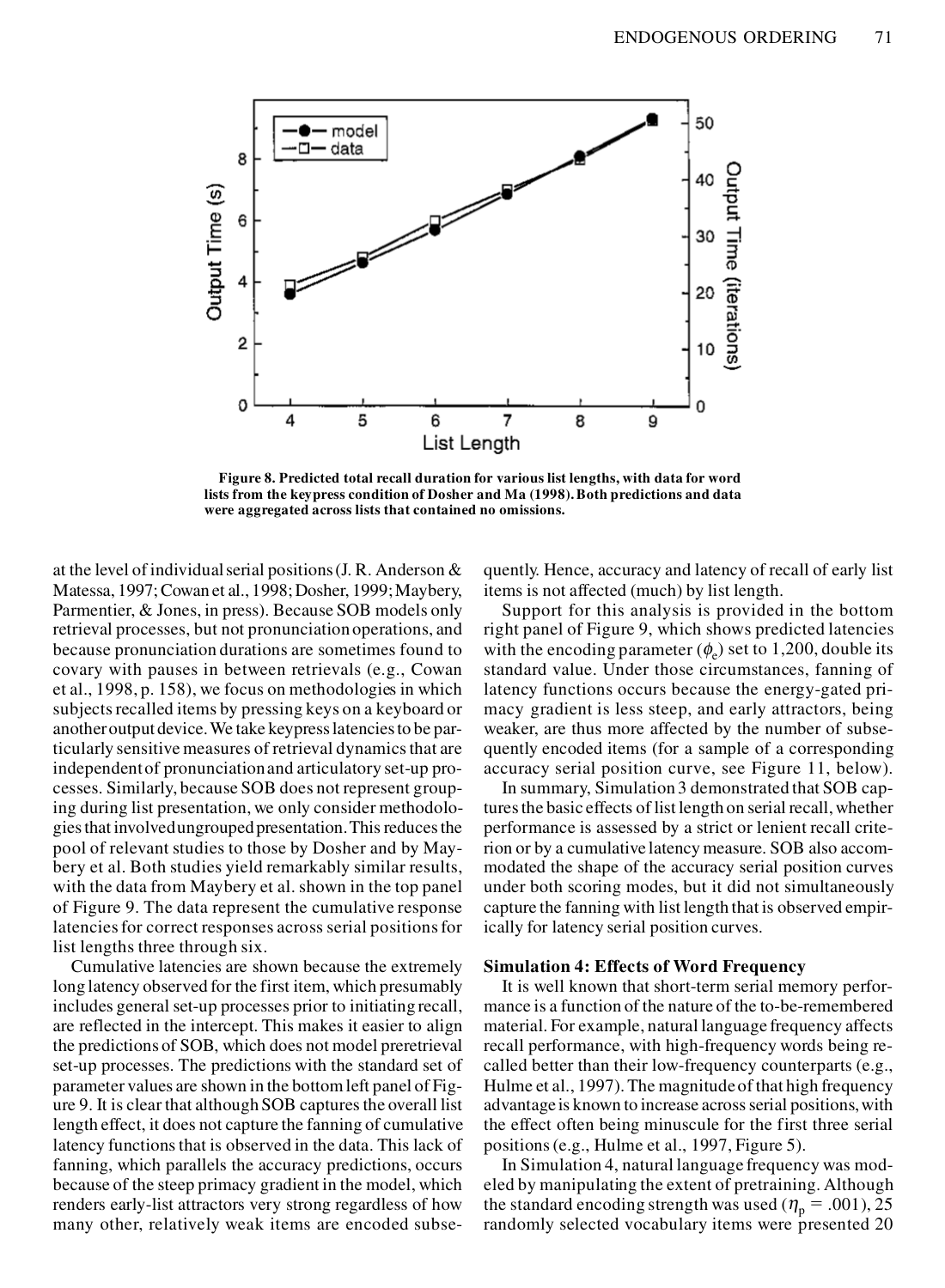

**Figure 8. Predicted total recall duration for various list lengths, with data for word lists from the keypress condition of Dosher and Ma (1998). Both predictions and data were aggregated across lists that contained no omissions.**

at the level of individual serial positions (J. R. Anderson & Matessa, 1997; Cowan et al., 1998; Dosher, 1999; Maybery, Parmentier, & Jones, in press). Because SOB models only retrieval processes, but not pronunciation operations, and because pronunciation durations are sometimes found to covary with pauses in between retrievals (e.g., Cowan et al., 1998, p. 158), we focus on methodologies in which subjects recalled items by pressing keys on a keyboard or anotheroutput device.We take keypresslatenciesto be particularly sensitive measures of retrieval dynamics that are independent of pronunciationand articulatory set-up processes. Similarly, because SOB does not represent grouping during list presentation, we only consider methodologies that involvedungrouped presentation.This reduces the pool of relevant studies to those by Dosher and by Maybery et al. Both studies yield remarkably similar results, with the data from Maybery et al. shown in the top panel of Figure 9. The data represent the cumulative response latencies for correct responses across serial positions for list lengths three through six.

Cumulative latencies are shown because the extremely long latency observed for the first item, which presumably includes general set-up processes prior to initiating recall, are reflected in the intercept. This makes it easier to align the predictions of SOB, which does not model preretrieval set-up processes. The predictions with the standard set of parameter values are shown in the bottom left panel of Figure 9. It is clear that although SOB captures the overall list length effect, it does not capture the fanning of cumulative latency functions that is observed in the data. This lack of fanning, which parallels the accuracy predictions, occurs because of the steep primacy gradient in the model, which renders early-list attractors very strong regardless of how many other, relatively weak items are encoded subse-

quently. Hence, accuracy and latency of recall of early list items is not affected (much) by list length.

Support for this analysis is provided in the bottom right panel of Figure 9, which shows predicted latencies with the encoding parameter  $(\phi_e)$  set to 1,200, double its standard value. Under those circumstances, fanning of latency functions occurs because the energy-gated primacy gradient is less steep, and early attractors, being weaker, are thus more affected by the number of subsequently encoded items (for a sample of a corresponding accuracy serial position curve, see Figure 11, below).

In summary, Simulation 3 demonstrated that SOB captures the basic effects of list length on serial recall, whether performance is assessed by a strict or lenient recall criterion or by a cumulative latency measure. SOB also accommodated the shape of the accuracy serial position curves under both scoring modes, but it did not simultaneously capture the fanning with list length that is observed empirically for latency serial position curves.

## **Simulation 4: Effects of Word Frequency**

It is well known that short-term serial memory performance is a function of the nature of the to-be-remembered material. For example, natural language frequency affects recall performance, with high-frequency words being recalled better than their low-frequency counterparts (e.g., Hulme et al., 1997). The magnitude of that high frequency advantage is known to increase across serial positions, with the effect often being minuscule for the first three serial positions (e.g., Hulme et al., 1997, Figure 5).

In Simulation 4, natural language frequency was modeled by manipulating the extent of pretraining. Although the standard encoding strength was used ( $\eta_p = .001$ ), 25 randomly selected vocabulary items were presented 20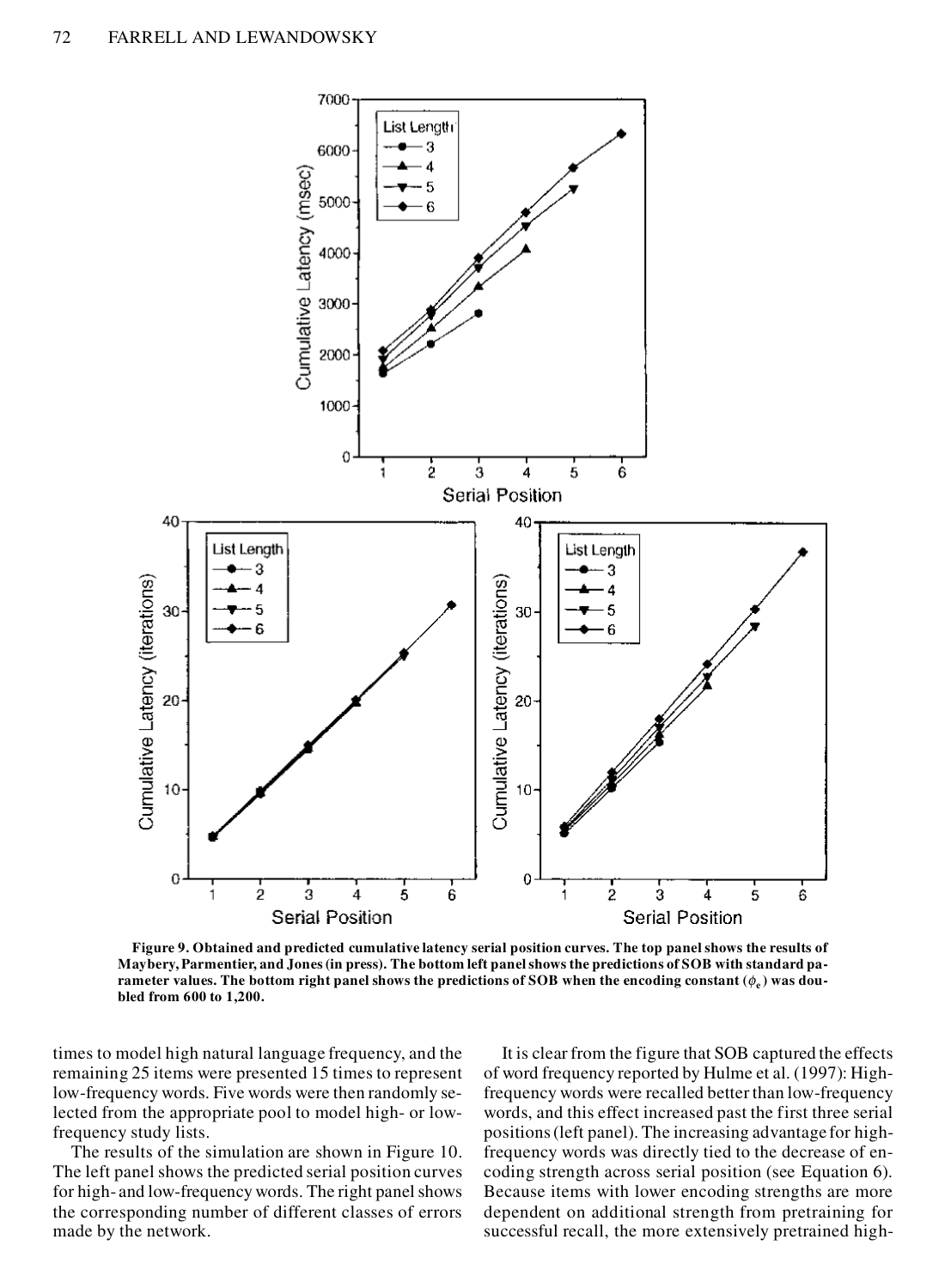

**Figure 9. Obtained and predicted cumulative latency serial position curves. The top panel shows the results of Maybery, Parmentier, and Jones (in press). The bottom left panel shows the predictions of SOB with standard parameter values. The bottom right panel shows the predictions of SOB when the encoding constant**  $(\phi_e)$  **was doubled from 600 to 1,200.**

times to model high natural language frequency, and the remaining 25 items were presented 15 times to represent low-frequency words. Five words were then randomly selected from the appropriate pool to model high- or lowfrequency study lists.

The results of the simulation are shown in Figure 10. The left panel shows the predicted serial position curves for high- and low-frequency words. The right panel shows the corresponding number of different classes of errors made by the network.

It is clear from the figure that SOB captured the effects of word frequency reported by Hulme et al. (1997): Highfrequency words were recalled better than low-frequency words, and this effect increased past the first three serial positions (left panel). The increasing advantage for highfrequency words was directly tied to the decrease of encoding strength across serial position (see Equation 6). Because items with lower encoding strengths are more dependent on additional strength from pretraining for successful recall, the more extensively pretrained high-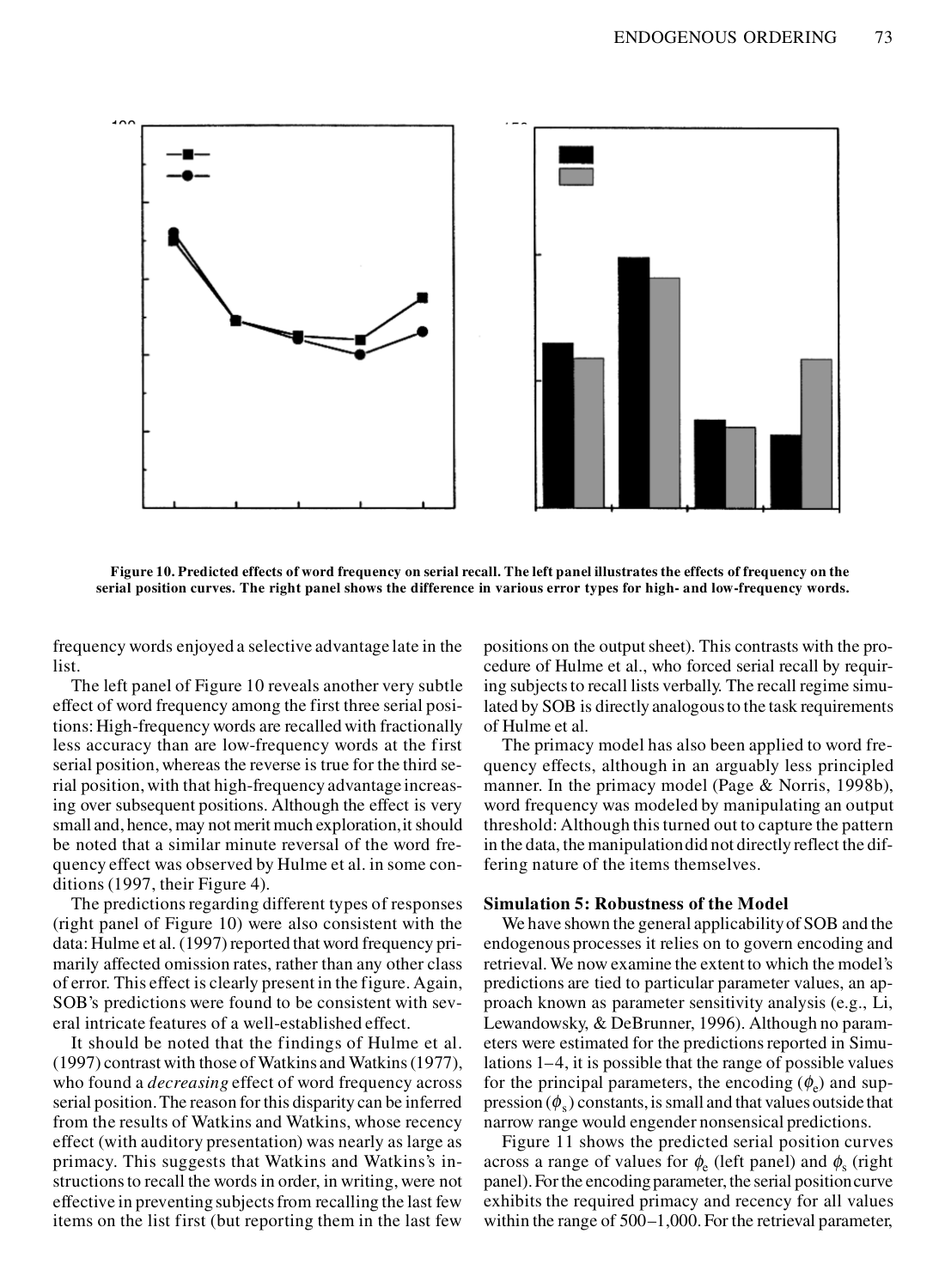

**Figure 10. Predicted effects of word frequency on serial recall. The left panel illustrates the effects of frequency on the serial position curves. The right panel shows the difference in various error types for high- and low-frequency words.**

frequency words enjoyed a selective advantage late in the list.

The left panel of Figure 10 reveals another very subtle effect of word frequency among the first three serial positions: High-frequency words are recalled with fractionally less accuracy than are low-frequency words at the first serial position, whereas the reverse is true for the third serial position, with that high-frequency advantage increasing over subsequent positions. Although the effect is very small and, hence, may not merit much exploration, it should be noted that a similar minute reversal of the word frequency effect was observed by Hulme et al. in some conditions (1997, their Figure 4).

The predictions regarding different types of responses (right panel of Figure 10) were also consistent with the data: Hulme et al. (1997) reported that word frequency primarily affected omission rates, rather than any other class of error. This effect is clearly present in the figure. Again, SOB's predictions were found to be consistent with several intricate features of a well-established effect.

It should be noted that the findings of Hulme et al. (1997) contrast with those of Watkins and Watkins (1977), who found a *decreasing* effect of word frequency across serial position.The reason for this disparity can be inferred from the results of Watkins and Watkins, whose recency effect (with auditory presentation) was nearly as large as primacy. This suggests that Watkins and Watkins's instructions to recall the words in order, in writing, were not effective in preventing subjects from recalling the last few items on the list first (but reporting them in the last few

positions on the output sheet). This contrasts with the procedure of Hulme et al., who forced serial recall by requiring subjects to recall lists verbally. The recall regime simulated by SOB is directly analogousto the task requirements of Hulme et al.

The primacy model has also been applied to word frequency effects, although in an arguably less principled manner. In the primacy model (Page & Norris, 1998b), word frequency was modeled by manipulating an output threshold: Although this turned out to capture the pattern in the data, the manipulationdid not directly reflect the differing nature of the items themselves.

## **Simulation 5: Robustness of the Model**

We have shown the general applicabilityof SOB and the endogenous processes it relies on to govern encoding and retrieval. We now examine the extent to which the model's predictions are tied to particular parameter values, an approach known as parameter sensitivity analysis (e.g., Li, Lewandowsky, & DeBrunner, 1996). Although no parameters were estimated for the predictions reported in Simulations 1–4, it is possible that the range of possible values for the principal parameters, the encoding  $(\phi_e)$  and suppression  $(\phi_s)$  constants, is small and that values outside that narrow range would engender nonsensical predictions.

Figure 11 shows the predicted serial position curves across a range of values for  $\phi_e$  (left panel) and  $\phi_s$  (right panel). For the encoding parameter, the serial positioncurve exhibits the required primacy and recency for all values within the range of 500–1,000. For the retrieval parameter,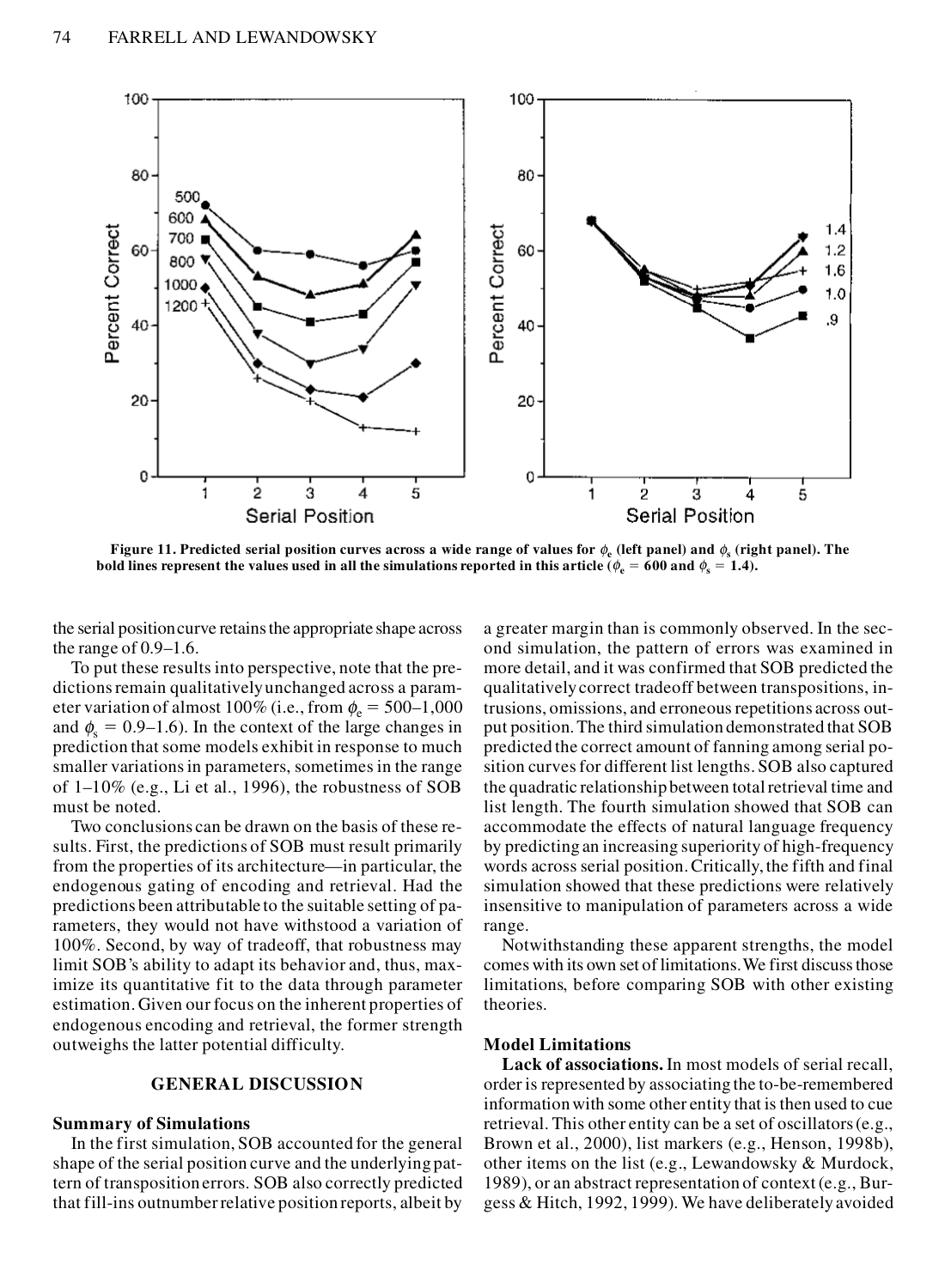

**Figure 11. Predicted serial position curves across a wide range of values for**  $\phi_e$  **(left panel) and**  $\phi_s$  **(right panel). The bold lines represent the values used in all the simulations reported in this article**  $(\phi_e = 600 \text{ and } \phi_s = 1.4)$ **.** 

the serial positioncurve retainsthe appropriate shape across the range of 0.9–1.6.

To put these results into perspective, note that the predictions remain qualitatively unchanged across a parameter variation of almost 100% (i.e., from  $\phi_e = 500-1,000$ and  $\phi_s = 0.9{\text -}1.6$ ). In the context of the large changes in prediction that some models exhibit in response to much smaller variations in parameters, sometimes in the range of 1–10% (e.g., Li et al., 1996), the robustness of SOB must be noted.

Two conclusions can be drawn on the basis of these results. First, the predictions of SOB must result primarily from the properties of its architecture—in particular, the endogenous gating of encoding and retrieval. Had the predictions been attributableto the suitable setting of parameters, they would not have withstood a variation of 100%. Second, by way of tradeoff, that robustness may limit SOB's ability to adapt its behavior and, thus, maximize its quantitative fit to the data through parameter estimation. Given our focus on the inherent properties of endogenous encoding and retrieval, the former strength outweighs the latter potential difficulty.

#### **GENERAL DISCUSSION**

#### **Summary of Simulations**

In the first simulation, SOB accounted for the general shape of the serial position curve and the underlying pattern of transposition errors. SOB also correctly predicted that fill-ins outnumber relative position reports, albeit by

a greater margin than is commonly observed. In the second simulation, the pattern of errors was examined in more detail, and it was confirmed that SOB predicted the qualitatively correct tradeoff between transpositions, intrusions, omissions, and erroneous repetitions across output position. The third simulation demonstrated that SOB predicted the correct amount of fanning among serial position curves for different list lengths. SOB also captured the quadratic relationship between total retrieval time and list length. The fourth simulation showed that SOB can accommodate the effects of natural language frequency by predicting an increasing superiority of high-frequency words across serial position. Critically, the fifth and final simulation showed that these predictions were relatively insensitive to manipulation of parameters across a wide range.

Notwithstanding these apparent strengths, the model comes with its own set of limitations.We first discuss those limitations, before comparing SOB with other existing theories.

## **Model Limitations**

**Lack of associations.** In most models of serial recall, order is represented by associating the to-be-remembered information with some other entity that is then used to cue retrieval. This other entity can be a set of oscillators (e.g., Brown et al., 2000), list markers (e.g., Henson, 1998b), other items on the list (e.g., Lewandowsky & Murdock, 1989), or an abstract representation of context (e.g., Burgess & Hitch, 1992, 1999). We have deliberately avoided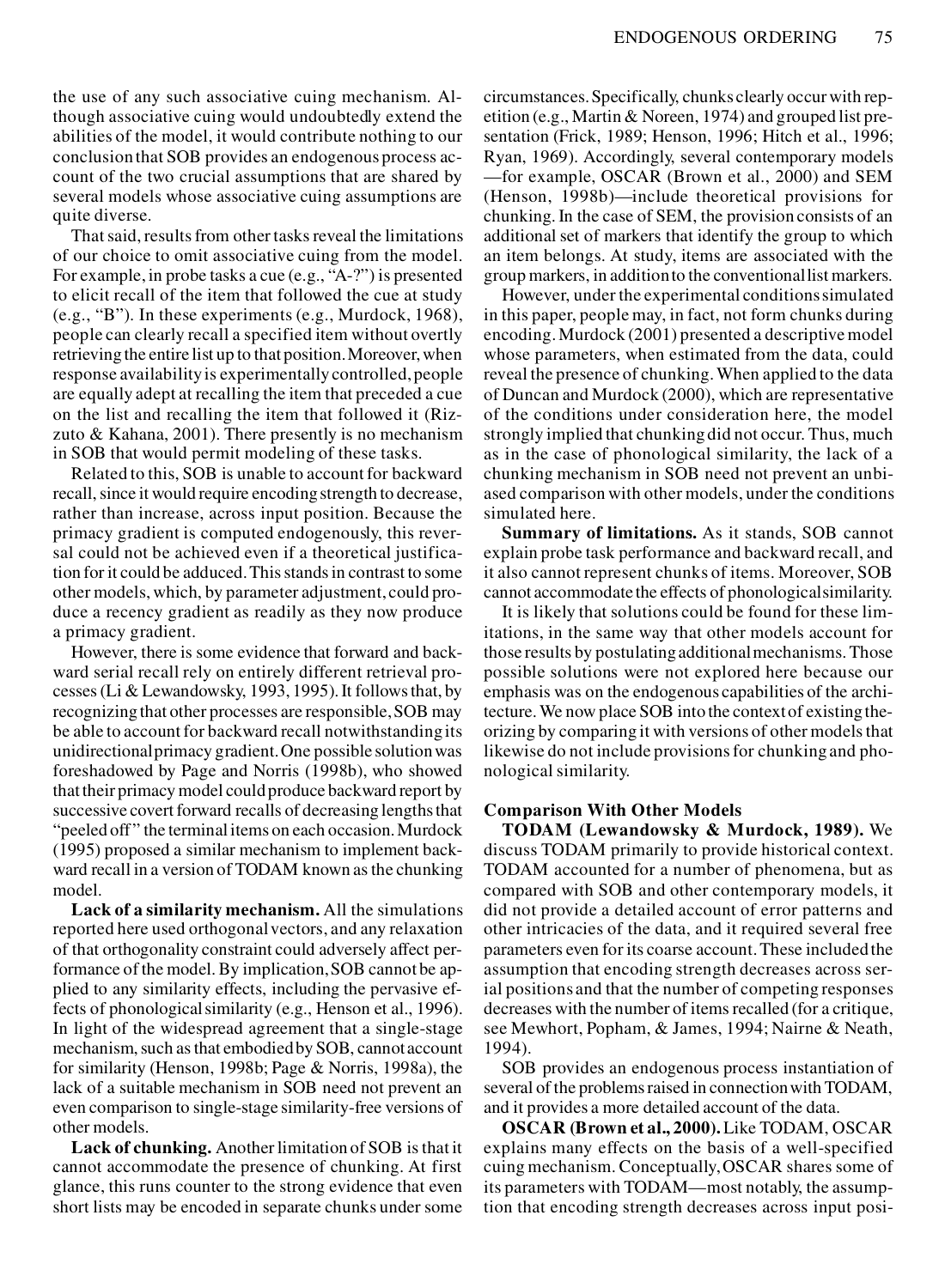the use of any such associative cuing mechanism. Although associative cuing would undoubtedly extend the abilities of the model, it would contribute nothing to our conclusionthat SOB provides an endogenous process account of the two crucial assumptions that are shared by several models whose associative cuing assumptions are quite diverse.

That said, results from other tasks reveal the limitations of our choice to omit associative cuing from the model. For example, in probe tasks a cue (e.g., "A-?") is presented to elicit recall of the item that followed the cue at study (e.g., "B"). In these experiments (e.g., Murdock, 1968), people can clearly recall a specified item without overtly retrieving the entire list up to that position. Moreover, when response availabilityis experimentally controlled, people are equally adept at recalling the item that preceded a cue on the list and recalling the item that followed it (Rizzuto & Kahana, 2001). There presently is no mechanism in SOB that would permit modeling of these tasks.

Related to this, SOB is unable to account for backward recall, since it would require encoding strength to decrease, rather than increase, across input position. Because the primacy gradient is computed endogenously, this reversal could not be achieved even if a theoretical justification for it could be adduced.This stands in contrast to some other models, which, by parameter adjustment, could produce a recency gradient as readily as they now produce a primacy gradient.

However, there is some evidence that forward and backward serial recall rely on entirely different retrieval processes (Li & Lewandowsky, 1993, 1995). It follows that, by recognizing that other processes are responsible, SOB may be able to account for backward recall notwithstandingits unidirectionalprimacy gradient.One possible solutionwas foreshadowed by Page and Norris (1998b), who showed that their primacy model could produce backward report by successive covert forward recalls of decreasing lengths that "peeled off" the terminal items on each occasion. Murdock (1995) proposed a similar mechanism to implement backward recall in a version of TODAM known as the chunking model.

**Lack of a similarity mechanism.** All the simulations reported here used orthogonal vectors, and any relaxation of that orthogonality constraint could adversely affect performance of the model. By implication,SOB cannot be applied to any similarity effects, including the pervasive effects of phonological similarity (e.g., Henson et al., 1996). In light of the widespread agreement that a single-stage mechanism, such as that embodied by SOB, cannot account for similarity (Henson, 1998b; Page & Norris, 1998a), the lack of a suitable mechanism in SOB need not prevent an even comparison to single-stage similarity-free versions of other models.

**Lack of chunking.** Another limitation of SOB is that it cannot accommodate the presence of chunking. At first glance, this runs counter to the strong evidence that even short lists may be encoded in separate chunks under some circumstances.Specifically, chunks clearly occur with repetition (e.g., Martin & Noreen, 1974) and grouped list presentation (Frick, 1989; Henson, 1996; Hitch et al., 1996; Ryan, 1969). Accordingly, several contemporary models —for example, OSCAR (Brown et al., 2000) and SEM (Henson, 1998b)—include theoretical provisions for chunking. In the case of SEM, the provision consists of an additional set of markers that identify the group to which an item belongs. At study, items are associated with the group markers, in additionto the conventionallist markers.

However, under the experimental conditions simulated in this paper, people may, in fact, not form chunks during encoding. Murdock (2001) presented a descriptive model whose parameters, when estimated from the data, could reveal the presence of chunking.When applied to the data of Duncan and Murdock (2000), which are representative of the conditions under consideration here, the model strongly implied that chunking did not occur. Thus, much as in the case of phonological similarity, the lack of a chunking mechanism in SOB need not prevent an unbiased comparison with other models, under the conditions simulated here.

**Summary of limitations.** As it stands, SOB cannot explain probe task performance and backward recall, and it also cannot represent chunks of items. Moreover, SOB cannot accommodate the effects of phonological similarity.

It is likely that solutions could be found for these limitations, in the same way that other models account for those results by postulating additionalmechanisms. Those possible solutions were not explored here because our emphasis was on the endogenous capabilities of the architecture.We now place SOB into the context of existingtheorizing by comparing it with versions of other models that likewise do not include provisions for chunking and phonological similarity.

## **Comparison With Other Models**

**TODAM (Lewandowsky & Murdock, 1989).** We discuss TODAM primarily to provide historical context. TODAM accounted for a number of phenomena, but as compared with SOB and other contemporary models, it did not provide a detailed account of error patterns and other intricacies of the data, and it required several free parameters even for its coarse account. These includedthe assumption that encoding strength decreases across serial positions and that the number of competing responses decreases with the number of items recalled (for a critique, see Mewhort, Popham, & James, 1994; Nairne & Neath, 1994).

SOB provides an endogenous process instantiation of several of the problems raised in connection with TODAM, and it provides a more detailed account of the data.

**OSCAR (Brown et al., 2000).**Like TODAM, OSCAR explains many effects on the basis of a well-specified cuing mechanism. Conceptually,OSCAR shares some of its parameters with TODAM—most notably, the assumption that encoding strength decreases across input posi-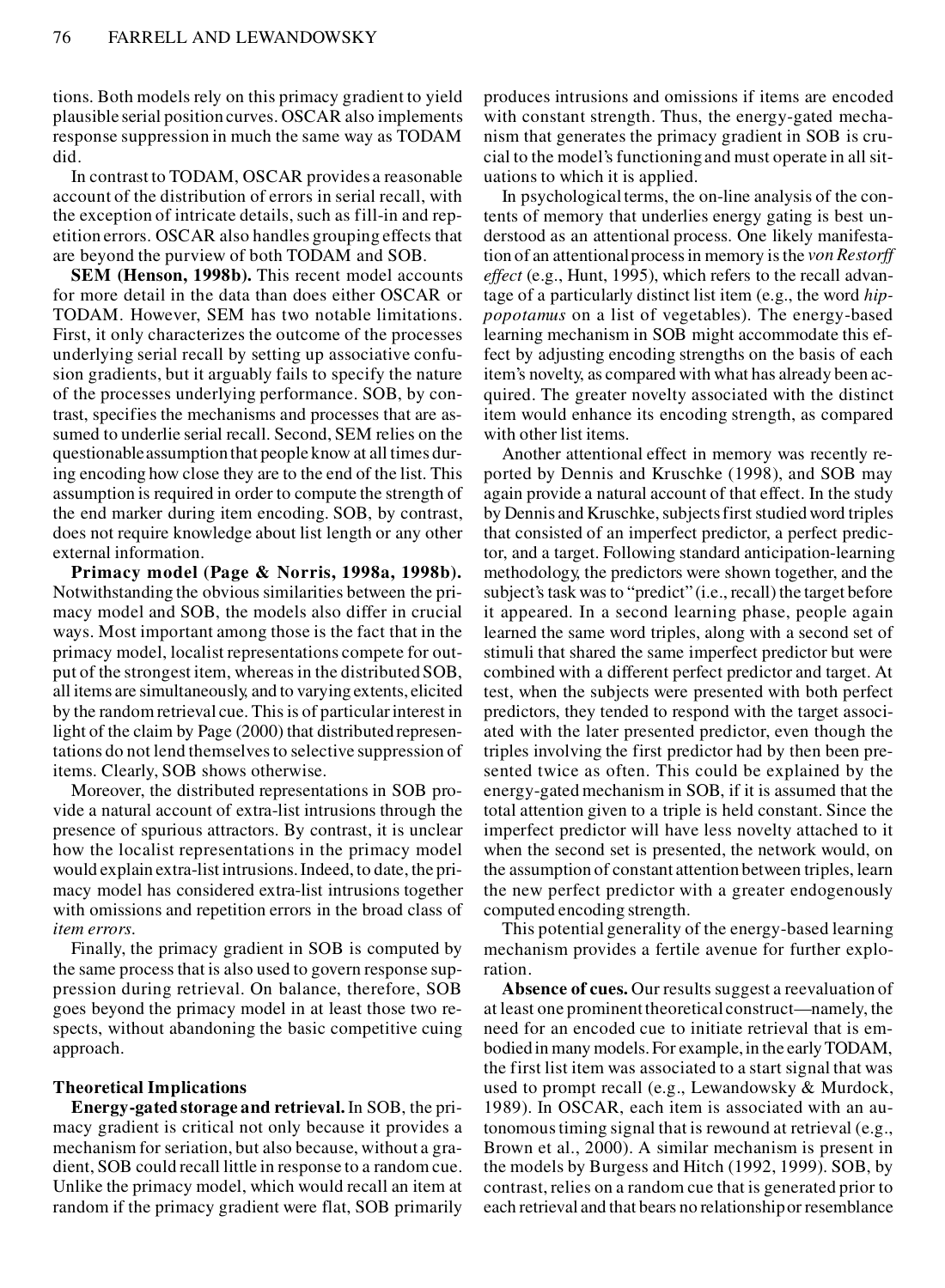tions. Both models rely on this primacy gradient to yield plausible serial position curves. OSCAR also implements response suppression in much the same way as TODAM did.

In contrast to TODAM, OSCAR provides a reasonable account of the distribution of errors in serial recall, with the exception of intricate details, such as fill-in and repetition errors. OSCAR also handles grouping effects that are beyond the purview of both TODAM and SOB.

**SEM (Henson, 1998b).** This recent model accounts for more detail in the data than does either OSCAR or TODAM. However, SEM has two notable limitations. First, it only characterizes the outcome of the processes underlying serial recall by setting up associative confusion gradients, but it arguably fails to specify the nature of the processes underlying performance. SOB, by contrast, specifies the mechanisms and processes that are assumed to underlie serial recall. Second, SEM relies on the questionableassumptionthat people know at all times during encoding how close they are to the end of the list. This assumption is required in order to compute the strength of the end marker during item encoding. SOB, by contrast, does not require knowledge about list length or any other external information.

**Primacy model (Page & Norris, 1998a, 1998b).** Notwithstanding the obvious similarities between the primacy model and SOB, the models also differ in crucial ways. Most important among those is the fact that in the primacy model, localist representations compete for output of the strongest item, whereas in the distributed SOB, all items are simultaneously, and to varying extents, elicited by the random retrieval cue. This is of particular interest in light of the claim by Page (2000) that distributed representations do not lend themselves to selective suppression of items. Clearly, SOB shows otherwise.

Moreover, the distributed representations in SOB provide a natural account of extra-list intrusions through the presence of spurious attractors. By contrast, it is unclear how the localist representations in the primacy model would explain extra-list intrusions. Indeed, to date, the primacy model has considered extra-list intrusions together with omissions and repetition errors in the broad class of *item errors*.

Finally, the primacy gradient in SOB is computed by the same process that is also used to govern response suppression during retrieval. On balance, therefore, SOB goes beyond the primacy model in at least those two respects, without abandoning the basic competitive cuing approach.

#### **Theoretical Implications**

**Energy-gated storage and retrieval.**In SOB, the primacy gradient is critical not only because it provides a mechanism for seriation, but also because, without a gradient, SOB could recall little in response to a random cue. Unlike the primacy model, which would recall an item at random if the primacy gradient were flat, SOB primarily produces intrusions and omissions if items are encoded with constant strength. Thus, the energy-gated mechanism that generates the primacy gradient in SOB is crucial to the model's functioning and must operate in all situations to which it is applied.

In psychological terms, the on-line analysis of the contents of memory that underlies energy gating is best understood as an attentional process. One likely manifestation of an attentionalprocess in memory is the *von Restorff effect* (e.g., Hunt, 1995), which refers to the recall advantage of a particularly distinct list item (e.g., the word *hippopotamus* on a list of vegetables). The energy-based learning mechanism in SOB might accommodate this effect by adjusting encoding strengths on the basis of each item's novelty, as compared with what has already been acquired. The greater novelty associated with the distinct item would enhance its encoding strength, as compared with other list items.

Another attentional effect in memory was recently reported by Dennis and Kruschke (1998), and SOB may again provide a natural account of that effect. In the study by Dennis and Kruschke, subjects first studied word triples that consisted of an imperfect predictor, a perfect predictor, and a target. Following standard anticipation-learning methodology, the predictors were shown together, and the subject's task was to "predict" (i.e., recall) the target before it appeared. In a second learning phase, people again learned the same word triples, along with a second set of stimuli that shared the same imperfect predictor but were combined with a different perfect predictor and target. At test, when the subjects were presented with both perfect predictors, they tended to respond with the target associated with the later presented predictor, even though the triples involving the first predictor had by then been presented twice as often. This could be explained by the energy-gated mechanism in SOB, if it is assumed that the total attention given to a triple is held constant. Since the imperfect predictor will have less novelty attached to it when the second set is presented, the network would, on the assumption of constant attention between triples, learn the new perfect predictor with a greater endogenously computed encoding strength.

This potential generality of the energy-based learning mechanism provides a fertile avenue for further exploration.

**Absence of cues.** Our results suggest a reevaluation of at least one prominenttheoretical construct—namely, the need for an encoded cue to initiate retrieval that is embodied in many models. For example, in the early TODAM, the first list item was associated to a start signal that was used to prompt recall (e.g., Lewandowsky & Murdock, 1989). In OSCAR, each item is associated with an autonomous timing signal that is rewound at retrieval (e.g., Brown et al., 2000). A similar mechanism is present in the models by Burgess and Hitch (1992, 1999). SOB, by contrast, relies on a random cue that is generated prior to each retrieval and that bears no relationship or resemblance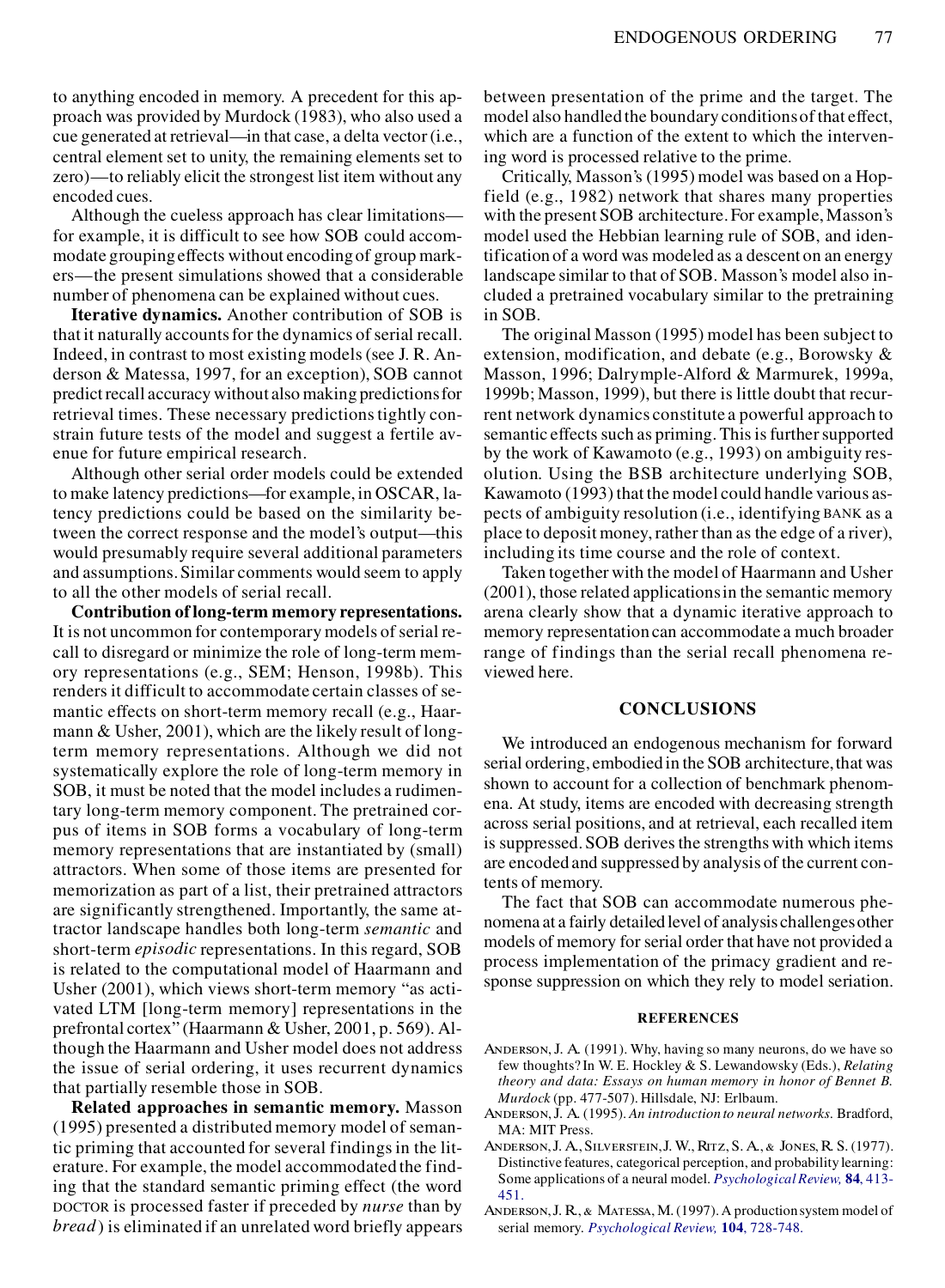to anything encoded in memory. A precedent for this approach was provided by Murdock (1983), who also used a cue generated at retrieval—in that case, a delta vector (i.e., central element set to unity, the remaining elements set to zero)—to reliably elicit the strongest list item without any encoded cues.

Although the cueless approach has clear limitations for example, it is difficult to see how SOB could accommodate grouping effects without encoding of group markers—the present simulations showed that a considerable number of phenomena can be explained without cues.

**Iterative dynamics.** Another contribution of SOB is that it naturally accounts for the dynamics of serial recall. Indeed, in contrast to most existing models (see J. R. Anderson & Matessa, 1997, for an exception), SOB cannot predict recall accuracy without also making predictions for retrieval times. These necessary predictions tightly constrain future tests of the model and suggest a fertile avenue for future empirical research.

Although other serial order models could be extended to make latency predictions—for example, in OSCAR, latency predictions could be based on the similarity between the correct response and the model's output—this would presumably require several additional parameters and assumptions. Similar comments would seem to apply to all the other models of serial recall.

**Contribution of long-term memory representations.** It is not uncommon for contemporary models of serial recall to disregard or minimize the role of long-term memory representations (e.g., SEM; Henson, 1998b). This renders it difficult to accommodate certain classes of semantic effects on short-term memory recall (e.g., Haarmann & Usher, 2001), which are the likely result of longterm memory representations. Although we did not systematically explore the role of long-term memory in SOB, it must be noted that the model includes a rudimentary long-term memory component. The pretrained corpus of items in SOB forms a vocabulary of long-term memory representations that are instantiated by (small) attractors. When some of those items are presented for memorization as part of a list, their pretrained attractors are significantly strengthened. Importantly, the same attractor landscape handles both long-term *semantic* and short-term *episodic* representations. In this regard, SOB is related to the computational model of Haarmann and Usher (2001), which views short-term memory "as activated LTM [long-term memory] representations in the prefrontal cortex" (Haarmann & Usher, 2001, p. 569). Although the Haarmann and Usher model does not address the issue of serial ordering, it uses recurrent dynamics that partially resemble those in SOB.

**Related approaches in semantic memory.** Masson (1995) presented a distributed memory model of semantic priming that accounted for several findings in the literature. For example, the model accommodated the finding that the standard semantic priming effect (the word DOCTOR is processed faster if preceded by *nurse* than by *bread* ) is eliminated if an unrelated word briefly appears between presentation of the prime and the target. The model also handledthe boundary conditions of that effect, which are a function of the extent to which the intervening word is processed relative to the prime.

Critically, Masson's (1995) model was based on a Hopfield (e.g., 1982) network that shares many properties with the present SOB architecture. For example, Masson's model used the Hebbian learning rule of SOB, and identification of a word was modeled as a descent on an energy landscape similar to that of SOB. Masson's model also included a pretrained vocabulary similar to the pretraining in SOB.

The original Masson (1995) model has been subject to extension, modification, and debate (e.g., Borowsky & Masson, 1996; Dalrymple-Alford & Marmurek, 1999a, 1999b; Masson, 1999), but there is little doubt that recurrent network dynamics constitute a powerful approach to semantic effects such as priming. This is further supported by the work of Kawamoto (e.g., 1993) on ambiguity resolution. Using the BSB architecture underlying SOB, Kawamoto (1993) that the model could handle various aspects of ambiguity resolution (i.e., identifying BANK as a place to deposit money, rather than as the edge of a river), including its time course and the role of context.

Taken together with the model of Haarmann and Usher (2001), those related applicationsin the semantic memory arena clearly show that a dynamic iterative approach to memory representation can accommodate a much broader range of findings than the serial recall phenomena reviewed here.

## **CONCLUSIONS**

We introduced an endogenous mechanism for forward serial ordering, embodied in the SOB architecture, that was shown to account for a collection of benchmark phenomena. At study, items are encoded with decreasing strength across serial positions, and at retrieval, each recalled item is suppressed. SOB derives the strengths with which items are encoded and suppressed by analysis of the current contents of memory.

The fact that SOB can accommodate numerous phenomena at a fairly detailedlevel of analysis challengesother models of memory for serial order that have not provided a process implementation of the primacy gradient and response suppression on which they rely to model seriation.

#### **REFERENCES**

- ANDERSON, J. A. (1991). Why, having so many neurons, do we have so few thoughts? In W. E. Hockley & S. Lewandowsky (Eds.), *Relating theory and data: Essays on human memory in honor of Bennet B. Murdock* (pp. 477-507). Hillsdale, NJ: Erlbaum.
- Anderson, J. A. (1995). *An introduction to neural networks*. Bradford, MA: MIT Press.
- Anderson, J. A., Silverstein,J. W., Ritz, S. A., & Jones, R. S. (1977). Distinctive features, categorical perception, and probabilitylearning: Some applications of a neural model. *Psychological Review,* **84**, 413- 451.
- ANDERSON, J. R., & MATESSA, M. (1997). A production system model of serial memory. *Psychological Review,* **104**, 728-748.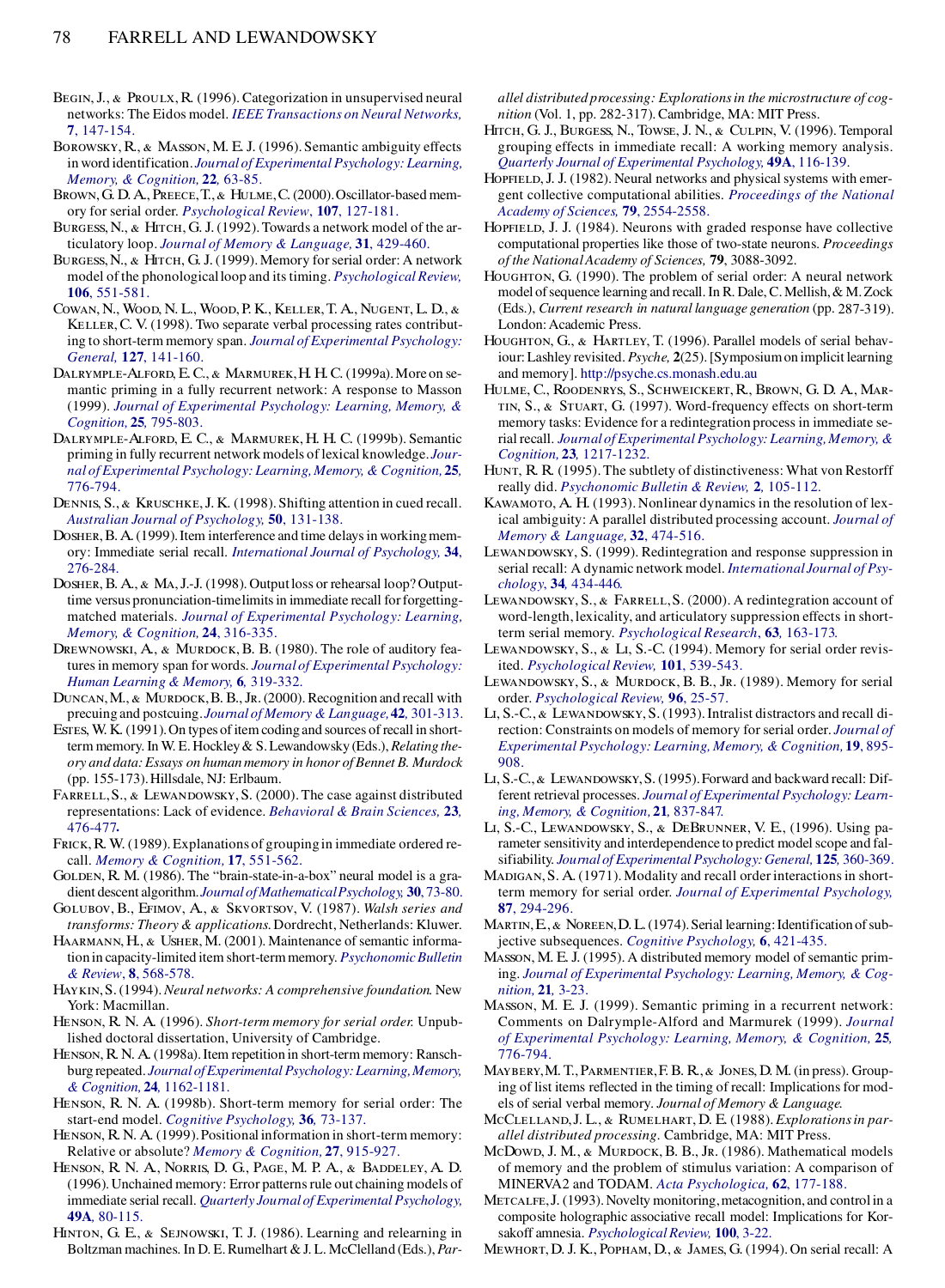BEGIN, J., & PROULX, R. (1996). Categorization in unsupervised neural networks: The Eidos model. *IEEE Transactions on Neural Networks,* **7**, 147-154.

- Borowsky, R., & Masson, M. E. J. (1996). Semantic ambiguity effects in word identification. *Journal of Experimental Psychology: Learning, Memory, & Cognition,* **22***,* 63-85.
- BROWN, G. D. A., PREECE, T., & HULME, C. (2000). Oscillator-based memory for serial order. *Psychological Review*, **107**, 127-181.
- BURGESS, N., & HITCH, G. J. (1992). Towards a network model of the articulatory loop. *Journal of Memory & Language,* **31**, 429-460.
- BURGESS, N., & HITCH, G. J. (1999). Memory for serial order: A network model of the phonologicalloop and its timing. *Psychological Review,* **106**, 551-581.
- Cowan, N., Wood, N. L., Wood, P. K., Keller, T. A., Nugent, L. D., & Keller, C. V. (1998). Two separate verbal processing rates contributing to short-term memory span. *Journal of Experimental Psychology: General,* **127**, 141-160.
- DALRYMPLE-ALFORD, E. C., & MARMUREK, H. H. C. (1999a). More on semantic priming in a fully recurrent network: A response to Masson (1999). *Journal of Experimental Psychology: Learning, Memory, & Cognition,* **25***,* 795-803.
- Dalrymple-Alford, E. C., & Marmurek, H. H. C. (1999b). Semantic priming in fully recurrent network models of lexical knowledge. *Journal of Experimental Psychology: Learning,Memory, & Cognition,***25***,* 776-794.
- DENNIS, S., & KRUSCHKE, J. K. (1998). Shifting attention in cued recall. *Australian Journal of Psychology,* **50**, 131-138.
- DOSHER, B. A. (1999). Item interference and time delays in working memory: Immediate serial recall. *International Journal of Psychology,* **34**, 276-284.
- DOSHER, B. A., & MA, J.-J. (1998). Output loss or rehearsal loop? Outputtime versus pronunciation-timelimits in immediate recall for forgettingmatched materials. *Journal of Experimental Psychology: Learning, Memory, & Cognition,* **24**, 316-335.
- DREWNOWSKI, A., & MURDOCK, B. B. (1980). The role of auditory features in memory span for words. *Journal of Experimental Psychology: Human Learning & Memory,* **6***,* 319-332.
- DUNCAN, M., & MURDOCK, B. B., JR. (2000). Recognition and recall with precuing and postcuing.*Journal of Memory & Language,***42***,* 301-313.
- Estes, W. K. (1991).On types of item coding and sources of recall in shortterm memory. In W. E. Hockley& S. Lewandowsky (Eds.),*Relatingtheory and data: Essays on human memory in honor of Bennet B. Murdock* (pp. 155-173).Hillsdale, NJ: Erlbaum.
- FARRELL, S., & LEWANDOWSKY, S. (2000). The case against distributed representations: Lack of evidence. *Behavioral & Brain Sciences,* **23***,*
- 476-477*.* Frick, R. W. (1989). Explanations of groupingin immediate ordered recall. *Memory & Cognition,* **17**, 551-562.
- GOLDEN, R. M. (1986). The "brain-state-in-a-box" neural model is a gradient descent algorithm.*Journal ofMathematicalPsychology,* **30**, 73-80.
- Golubov, B., Efimov, A., & Skvortsov, V. (1987). *Walsh series and transforms: Theory & applications.*Dordrecht, Netherlands: Kluwer.
- HAARMANN, H., & USHER, M. (2001). Maintenance of semantic information in capacity-limited item short-term memory. *PsychonomicBulletin & Review*, **8**, 568-578.
- Haykin, S.(1994).*Neural networks: A comprehensive foundation*. New York: Macmillan.
- Henson, R. N. A. (1996). *Short-term memory for serial order.* Unpublished doctoral dissertation, University of Cambridge.
- HENSON, R. N. A. (1998a). Item repetition in short-term memory: Ranschburg repeated. *Journal of Experimental Psychology: Learning,Memory, & Cognition,* **24***,* 1162-1181.
- Henson, R. N. A. (1998b). Short-term memory for serial order: The start-end model. *Cognitive Psychology,* **36***,* 73-137.
- Henson, R. N. A. (1999). Positional information in short-term memory: Relative or absolute? *Memory & Cognition,* **27**, 915-927.
- Henson, R. N. A., Norris, D. G., Page, M. P. A., & Baddeley, A. D. (1996). Unchained memory: Error patterns rule out chaining models of immediate serial recall. *Quarterly Journal of Experimental Psychology,* **49A***,* 80-115.
- HINTON, G. E., & SEJNOWSKI, T. J. (1986). Learning and relearning in Boltzman machines. In D. E. Rumelhart & J. L. McClelland (Eds.),*Par-*

*allel distributed processing: Explorationsin the microstructure of cognition* (Vol. 1, pp. 282-317). Cambridge, MA: MIT Press.

- Hitch, G. J., Burgess, N., Towse, J. N., & Culpin, V. (1996). Temporal grouping effects in immediate recall: A working memory analysis. *Quarterly Journal of Experimental Psychology,* **49A**, 116-139.
- HOPFIELD, J. J. (1982). Neural networks and physical systems with emergent collective computational abilities. *Proceedings of the National Academy of Sciences,* **79**, 2554-2558.
- HOPFIELD, J. J. (1984). Neurons with graded response have collective computational properties like those of two-state neurons. *Proceedings of the National Academy of Sciences,* **79**, 3088-3092.
- Houghton, G. (1990). The problem of serial order: A neural network model of sequence learning and recall. In R. Dale, C.Mellish,& M. Zock (Eds.), *Current research in natural language generation* (pp. 287-319). London: Academic Press.
- HOUGHTON, G., & HARTLEY, T. (1996). Parallel models of serial behaviour: Lashley revisited. *Psyche,* **2**(25). [Symposium on implicit learning and memory]. http://psyche.cs.monash.edu.au
- Hulme, C., Roodenrys, S., Schweickert, R., Brown, G. D. A., Martin, S., & Stuart, G. (1997). Word-frequency effects on short-term memory tasks: Evidence for a redintegration process in immediate serial recall. *Journal of Experimental Psychology: Learning,Memory, & Cognition,* **23***,* 1217-1232.
- HUNT, R. R. (1995). The subtlety of distinctiveness: What von Restorff really did. *Psychonomic Bulletin & Review,* **2***,* 105-112.
- KAWAMOTO, A. H. (1993). Nonlinear dynamics in the resolution of lexical ambiguity: A parallel distributed processing account. *Journal of Memory & Language,* **32**, 474-516.
- LEWANDOWSKY, S. (1999). Redintegration and response suppression in serial recall: A dynamic network model. *International Journal of Psychology*, **34***,* 434-446.
- LEWANDOWSKY, S., & FARRELL, S. (2000). A redintegration account of word-length, lexicality, and articulatory suppression effects in shortterm serial memory. *Psychological Research*, **63***,* 163-173.
- LEWANDOWSKY, S., & LI, S.-C. (1994). Memory for serial order revisited. *Psychological Review,* **101**, 539-543.
- LEWANDOWSKY, S., & MURDOCK, B. B., Jr. (1989). Memory for serial order. *Psychological Review,* **96**, 25-57.
- Li, S.-C., & Lewandowsky, S. (1993). Intralist distractors and recall direction: Constraints on models of memory for serial order. *Journal of Experimental Psychology: Learning, Memory, & Cognition,***19**, 895- 908.
- Li, S.-C., & Lewandowsky, S. (1995). Forward and backward recall: Different retrieval processes. *Journal of Experimental Psychology: Learning, Memory, & Cognition,***21***,* 837-847*.*
- Li, S.-C., Lewandowsky, S., & DeBrunner, V. E., (1996). Using parameter sensitivity and interdependence to predict model scope and falsifiability. *Journal of Experimental Psychology:General,* **125***,* 360-369.
- MADIGAN, S. A. (1971). Modality and recall order interactions in shortterm memory for serial order. *Journal of Experimental Psychology,* **87**, 294-296.
- Martin,E., & Noreen,D. L.(1974). Serial learning: Identification of subjective subsequences. *Cognitive Psychology,* **6**, 421-435.
- Masson, M. E. J. (1995). A distributed memory model of semantic priming. *Journal of Experimental Psychology: Learning, Memory, & Cognition,* **21***,* 3-23.
- Masson, M. E. J. (1999). Semantic priming in a recurrent network: Comments on Dalrymple-Alford and Marmurek (1999). *Journal of Experimental Psychology: Learning, Memory, & Cognition,* **25***,* 776-794.
- Maybery,M. T., Parmentier,F. B. R., & Jones, D. M. (in press). Grouping of list items reflected in the timing of recall: Implications for models of serial verbal memory. *Journal of Memory & Language*.
- McClelland,J. L., & Rumelhart, D. E. (1988).*Explorationsin parallel distributed processing*. Cambridge, MA: MIT Press.
- McDowd, J. M., & MURDOCK, B. B., Jr. (1986). Mathematical models of memory and the problem of stimulus variation: A comparison of MINERVA2 and TODAM. *Acta Psychologica,* **62**, 177-188.
- METCALFE, J. (1993). Novelty monitoring, metacognition, and control in a composite holographic associative recall model: Implications for Korsakoff amnesia. *Psychological Review,* **100**, 3-22.
- Mewhort, D. J. K., Popham, D., & James, G. (1994). On serial recall: A